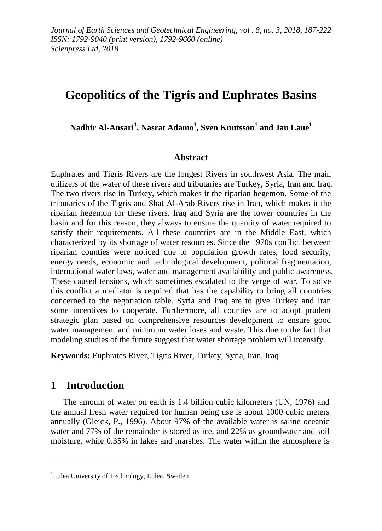# **Geopolitics of the Tigris and Euphrates Basins**

**Nadhir Al-Ansari<sup>1</sup> , Nasrat Adamo<sup>1</sup> , Sven Knutsson<sup>1</sup> and Jan Laue<sup>1</sup>**

#### **Abstract**

Euphrates and Tigris Rivers are the longest Rivers in southwest Asia. The main utilizers of the water of these rivers and tributaries are Turkey, Syria, Iran and Iraq. The two rivers rise in Turkey, which makes it the riparian hegemon. Some of the tributaries of the Tigris and Shat Al-Arab Rivers rise in Iran, which makes it the riparian hegemon for these rivers. Iraq and Syria are the lower countries in the basin and for this reason, they always to ensure the quantity of water required to satisfy their requirements. All these countries are in the Middle East, which characterized by its shortage of water resources. Since the 1970s conflict between riparian counties were noticed due to population growth rates, food security, energy needs, economic and technological development, political fragmentation, international water laws, water and management availability and public awareness. These caused tensions, which sometimes escalated to the verge of war. To solve this conflict a mediator is required that has the capability to bring all countries concerned to the negotiation table. Syria and Iraq are to give Turkey and Iran some incentives to cooperate. Furthermore, all counties are to adopt prudent strategic plan based on comprehensive resources development to ensure good water management and minimum water loses and waste. This due to the fact that modeling studies of the future suggest that water shortage problem will intensify.

**Keywords:** Euphrates River, Tigris River, Turkey, Syria, Iran, Iraq

# **1 Introduction**

1

The amount of water on earth is 1.4 billion cubic kilometers (UN, 1976) and the annual fresh water required for human being use is about 1000 cubic meters annually (Gleick, P., 1996). About 97% of the available water is saline oceanic water and 77% of the remainder is stored as ice, and 22% as groundwater and soil moisture, while 0.35% in lakes and marshes. The water within the atmosphere is

<sup>&</sup>lt;sup>1</sup>Lulea University of Technology, Lulea, Sweden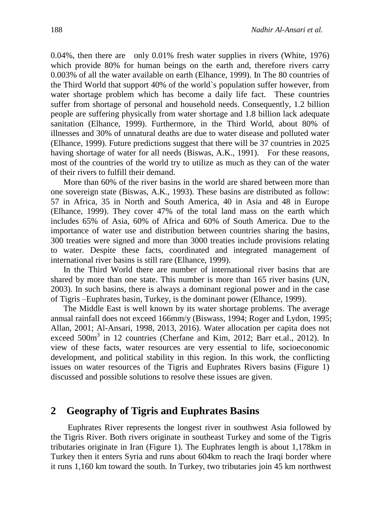0.04%, then there are only 0.01% fresh water supplies in rivers (White, 1976) which provide 80% for human beings on the earth and, therefore rivers carry 0.003% of all the water available on earth (Elhance, 1999). In The 80 countries of the Third World that support 40% of the world`s population suffer however, from water shortage problem which has become a daily life fact. These countries suffer from shortage of personal and household needs. Consequently, 1.2 billion people are suffering physically from water shortage and 1.8 billion lack adequate sanitation (Elhance, 1999). Furthermore, in the Third World, about 80% of illnesses and 30% of unnatural deaths are due to water disease and polluted water (Elhance, 1999). Future predictions suggest that there will be 37 countries in 2025 having shortage of water for all needs (Biswas, A.K., 1991). For these reasons, most of the countries of the world try to utilize as much as they can of the water of their rivers to fulfill their demand.

More than 60% of the river basins in the world are shared between more than one sovereign state (Biswas, A.K., 1993). These basins are distributed as follow: 57 in Africa, 35 in North and South America, 40 in Asia and 48 in Europe (Elhance, 1999). They cover 47% of the total land mass on the earth which includes 65% of Asia, 60% of Africa and 60% of South America. Due to the importance of water use and distribution between countries sharing the basins, 300 treaties were signed and more than 3000 treaties include provisions relating to water. Despite these facts, coordinated and integrated management of international river basins is still rare (Elhance, 1999).

In the Third World there are number of international river basins that are shared by more than one state. This number is more than 165 river basins (UN, 2003). In such basins, there is always a dominant regional power and in the case of Tigris –Euphrates basin, Turkey, is the dominant power (Elhance, 1999).

The Middle East is well known by its water shortage problems. The average annual rainfall does not exceed 166mm/y (Biswass, 1994; Roger and Lydon, 1995; Allan, 2001; Al-Ansari, 1998, 2013, 2016). Water allocation per capita does not exceed 500m<sup>3</sup> in 12 countries (Cherfane and Kim, 2012; Barr et.al., 2012). In view of these facts, water resources are very essential to life, socioeconomic development, and political stability in this region. In this work, the conflicting issues on water resources of the Tigris and Euphrates Rivers basins (Figure 1) discussed and possible solutions to resolve these issues are given.

### **2 Geography of Tigris and Euphrates Basins**

Euphrates River represents the longest river in southwest Asia followed by the Tigris River. Both rivers originate in southeast Turkey and some of the Tigris tributaries originate in Iran (Figure 1). The Euphrates length is about 1,178km in Turkey then it enters Syria and runs about 604km to reach the Iraqi border where it runs 1,160 km toward the south. In Turkey, two tributaries join 45 km northwest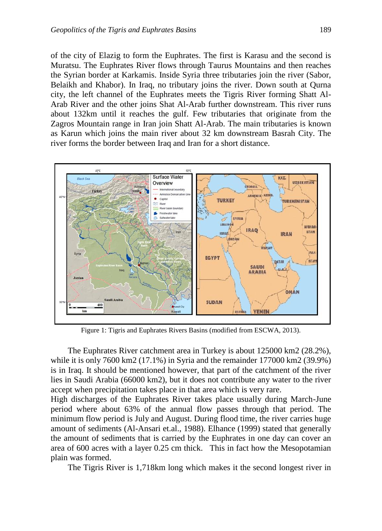of the city of Elazig to form the Euphrates. The first is Karasu and the second is Muratsu. The Euphrates River flows through Taurus Mountains and then reaches the Syrian border at Karkamis. Inside Syria three tributaries join the river (Sabor, Belaikh and Khabor). In Iraq, no tributary joins the river. Down south at Qurna city, the left channel of the Euphrates meets the Tigris River forming Shatt Al-Arab River and the other joins Shat Al-Arab further downstream. This river runs about 132km until it reaches the gulf. Few tributaries that originate from the Zagros Mountain range in Iran join Shatt Al-Arab. The main tributaries is known as Karun which joins the main river about 32 km downstream Basrah City. The river forms the border between Iraq and Iran for a short distance.



Figure 1: Tigris and Euphrates Rivers Basins (modified from ESCWA, 2013).

The Euphrates River catchment area in Turkey is about 125000 km2 (28.2%), while it is only 7600 km2 (17.1%) in Syria and the remainder 177000 km2 (39.9%) is in Iraq. It should be mentioned however, that part of the catchment of the river lies in Saudi Arabia (66000 km2), but it does not contribute any water to the river accept when precipitation takes place in that area which is very rare.

High discharges of the Euphrates River takes place usually during March-June period where about 63% of the annual flow passes through that period. The minimum flow period is July and August. During flood time, the river carries huge amount of sediments (Al-Ansari et.al., 1988). Elhance (1999) stated that generally the amount of sediments that is carried by the Euphrates in one day can cover an area of 600 acres with a layer 0.25 cm thick. This in fact how the Mesopotamian plain was formed.

The Tigris River is 1,718km long which makes it the second longest river in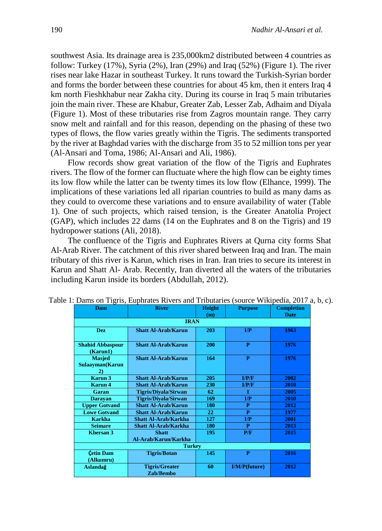southwest Asia. Its drainage area is 235,000km2 distributed between 4 countries as follow: Turkey (17%), Syria (2%), Iran (29%) and Iraq (52%) (Figure 1). The river rises near lake Hazar in southeast Turkey. It runs toward the Turkish-Syrian border and forms the border between these countries for about 45 km, then it enters Iraq 4 km north Fieshkhabur near Zakha city. During its course in Iraq 5 main tributaries join the main river. These are Khabur, Greater Zab, Lesser Zab, Adhaim and Diyala (Figure 1). Most of these tributaries rise from Zagros mountain range. They carry snow melt and rainfall and for this reason, depending on the phasing of these two types of flows, the flow varies greatly within the Tigris. The sediments transported by the river at Baghdad varies with the discharge from 35 to 52 million tons per year (Al-Ansari and Toma, 1986; Al-Ansari and Ali, 1986).

Flow records show great variation of the flow of the Tigris and Euphrates rivers. The flow of the former can fluctuate where the high flow can be eighty times its low flow while the latter can be twenty times its low flow (Elhance, 1999). The implications of these variations led all riparian countries to build as many dams as they could to overcome these variations and to ensure availability of water (Table 1). One of such projects, which raised tension, is the Greater Anatolia Project (GAP), which includes 22 dams (14 on the Euphrates and 8 on the Tigris) and 19 hydropower stations (Ali, 2018).

The confluence of the Tigris and Euphrates Rivers at Qurna city forms Shat Al-Arab River. The catchment of this river shared between Iraq and Iran. The main tributary of this river is Karun, which rises in Iran. Iran tries to secure its interest in Karun and Shatt Al- Arab. Recently, Iran diverted all the waters of the tributaries including Karun inside its borders (Abdullah, 2012).

| Dam                                              | <b>River</b>                | <b>Height</b> | <b>Purpose</b>          | <b>Completion</b><br><b>Date</b> |  |  |
|--------------------------------------------------|-----------------------------|---------------|-------------------------|----------------------------------|--|--|
| (m)<br><b>IRAN</b>                               |                             |               |                         |                                  |  |  |
|                                                  |                             |               |                         |                                  |  |  |
| <b>Dez</b>                                       | <b>Shatt Al-Arab/Karun</b>  | 203           | $\mathbf{IP}$           | 1963                             |  |  |
| <b>Shahid Abbaspour</b><br>(Karun1)              | <b>Shatt Al-Arab/Karun</b>  | 200           | P                       | 1976                             |  |  |
| <b>Masjed</b><br>Sulaayman(Karun<br>$\mathbf{2}$ | <b>Shatt Al-Arab/Karun</b>  | 164           | P                       | 1976                             |  |  |
| Karun <sub>3</sub>                               | <b>Shatt Al-Arab/Karun</b>  | 205           | I/P/F                   | 2002                             |  |  |
| Karun 4                                          | <b>Shatt Al-Arab/Karun</b>  | 230           | I/P/F                   | 2010                             |  |  |
| Garan                                            | Tigris/Divala/Sirwan        | 62            |                         | 2005                             |  |  |
| <b>Darayan</b>                                   | Tigris/Divala/Sirwan        | 169           | I/P                     | 2010                             |  |  |
| <b>Upper Gotvand</b>                             | <b>Shatt Al-Arab/Karun</b>  | 180           | P                       | 2012                             |  |  |
| <b>Lowe Gotvand</b>                              | <b>Shatt Al-Arab/Karun</b>  | 22            | $\mathbf{P}$            | 1977                             |  |  |
| <b>Karkha</b>                                    | <b>Shatt Al-Arab/Karkha</b> | 127           | $\mathbf{I}/\mathbf{P}$ | 2001                             |  |  |
| <b>Seimare</b>                                   | <b>Shatt Al-Arab/Karkha</b> | 180           | P                       | 2013                             |  |  |
| <b>Khersan 3</b>                                 | <b>Shatt</b>                | 195           | P/F                     | 2015                             |  |  |
|                                                  | Al-Arab/Karun/Karkha        |               |                         |                                  |  |  |
| <b>Turkey</b>                                    |                             |               |                         |                                  |  |  |
| <b>Ćetin Dam</b>                                 | <b>Tigris/Botan</b>         | 145           | P                       | 2016                             |  |  |
| (Alkumru)                                        |                             |               |                         |                                  |  |  |
| <b>Tigris/Greater</b><br>Aslandag<br>Zab/Bembo   |                             | 60            | I/M/P(future)           | 2012                             |  |  |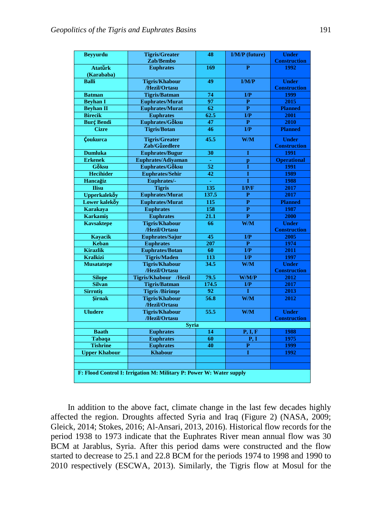| <b>Beyyurdu</b>                                                     | <b>Tigris/Greater</b>                         | 48<br>$I/M/P$ (future)                  |                                       | <b>Under</b>        |  |  |
|---------------------------------------------------------------------|-----------------------------------------------|-----------------------------------------|---------------------------------------|---------------------|--|--|
|                                                                     | Zab/Bembo                                     |                                         |                                       | <b>Construction</b> |  |  |
| <b>Atatürk</b>                                                      | <b>Euphrates</b>                              | 169                                     | $\mathbf{p}$                          | 1992                |  |  |
| (Karababa)                                                          |                                               |                                         |                                       |                     |  |  |
| <b>Balli</b>                                                        | <b>Tigris/Khabour</b>                         | 49                                      | I/M/P                                 | <b>Under</b>        |  |  |
|                                                                     | /Hezil/Ortasu                                 |                                         |                                       | <b>Construction</b> |  |  |
| <b>Batman</b>                                                       | <b>Tigris/Batman</b>                          | 74                                      | $\mathbf{I}/\mathbf{P}$               | <b>1999</b>         |  |  |
| <b>Beyhan I</b>                                                     | <b>Euphrates/Murat</b>                        | 97                                      | $\overline{\mathbf{P}}$               | 2015                |  |  |
| <b>Beyhan II</b>                                                    | <b>Euphrates/Murat</b>                        | 62                                      | $\overline{\mathbf{P}}$               | <b>Planned</b>      |  |  |
| <b>Birecik</b>                                                      | <b>Euphrates</b>                              | 62.5                                    | $\mathbf{I}/\mathbf{P}$               | 2001                |  |  |
| <b>Bur</b> ¢ Bendi                                                  | Euphrates/Göksu                               | 47                                      | $\mathbf{P}$                          | 2010                |  |  |
| <b>Cizre</b>                                                        | <b>Tigris/Botan</b>                           | 46                                      | $\overline{IP}$                       | <b>Planned</b>      |  |  |
| <b>Ćoukurca</b>                                                     | <b>Tigris/Greater</b>                         | 45.5                                    | $\overline{\text{W/M}}$               | <b>Under</b>        |  |  |
|                                                                     | Zab/Güzedlere                                 |                                         |                                       | <b>Construction</b> |  |  |
| <b>Dumluka</b>                                                      | <b>Euphrates/Bugur</b>                        | 30                                      | T                                     | 1991                |  |  |
| <b>Erkenek</b>                                                      | Euphrates/Adiyaman                            |                                         | $\mathbf{p}$                          | <b>Operational</b>  |  |  |
| Göksu                                                               | Euphrates/Göksu                               | 52                                      | Ī                                     | 1991                |  |  |
| <b>Hecihider</b>                                                    | <b>Euphrates/Sehir</b>                        | 42                                      | Ī                                     | 1989                |  |  |
| Hancağiz                                                            | Euphrates/-                                   |                                         | T                                     | 1988                |  |  |
| <b>Ilisu</b>                                                        | <b>Tigris</b>                                 | 135                                     | I/P/F                                 | 2017                |  |  |
| <b>Upperkaleköy</b>                                                 | <b>Euphrates/Murat</b><br>137.5               |                                         | $\mathbf{P}$                          | 2017                |  |  |
| Lower kaleköy                                                       | <b>Euphrates/Murat</b>                        | 115                                     | $\mathbf{P}$                          | <b>Planned</b>      |  |  |
| <b>Karakaya</b>                                                     | <b>Euphrates</b>                              | 158                                     |                                       | 1987                |  |  |
| <b>Karkamiş</b>                                                     | <b>Euphrates</b>                              | $\mathbf{P}$<br>21.1                    |                                       | 2000                |  |  |
| <b>Kavsaktepe</b>                                                   | <b>Tigris/Khabour</b>                         | 66                                      | $\overline{\text{W/M}}$               | <b>Under</b>        |  |  |
|                                                                     | /Hezil/Ortasu                                 |                                         |                                       | <b>Construction</b> |  |  |
| <b>Kayacik</b>                                                      | Euphrates/Sajur                               | 45                                      | I/P                                   | 2005                |  |  |
| <b>Keban</b>                                                        |                                               | <b>Euphrates</b><br>207<br>$\mathbf{P}$ |                                       | 1974                |  |  |
| <b>Kirazlik</b>                                                     | <b>Euphrates/Botan</b><br>$\mathbf{IP}$<br>60 |                                         | 2011                                  |                     |  |  |
| <b>Kralkizi</b>                                                     | <b>Tigris/Maden</b>                           | 113                                     | I/P                                   | 1997                |  |  |
| <b>Musatatepe</b>                                                   | <b>Tigris/Khabour</b>                         | 34.5                                    | W/M                                   | <b>Under</b>        |  |  |
|                                                                     | /Hezil/Ortasu                                 |                                         |                                       | <b>Construction</b> |  |  |
| <b>Silope</b>                                                       | Tigris/Khabour /Hezil                         | 79.5                                    | W/M/P                                 | 2012                |  |  |
| <b>Silvan</b>                                                       | <b>Tigris/Batman</b>                          | 174.5                                   | I/P                                   | 2017                |  |  |
| <b>Sirrntiş</b>                                                     | <b>Tigris /Birimşe</b>                        | 92                                      | $\mathbf I$                           | 2013                |  |  |
| <b>Sirnak</b>                                                       | <b>Tigris/Khabour</b>                         | 56.8                                    | W/M                                   | 2012                |  |  |
|                                                                     | /Hezil/Ortasu                                 |                                         |                                       |                     |  |  |
| <b>Uludere</b>                                                      | <b>Tigris/Khabour</b>                         | 55.5                                    | W/M                                   | <b>Under</b>        |  |  |
|                                                                     | /Hezil/Ortasu                                 |                                         |                                       | <b>Construction</b> |  |  |
| <b>Syria</b>                                                        |                                               |                                         |                                       |                     |  |  |
| <b>Baath</b>                                                        | <b>Euphrates</b>                              | 14                                      | P, I, F                               | 1988                |  |  |
| <b>Tabaqa</b>                                                       | <b>Euphrates</b>                              | 60                                      | $\overline{P, I}$                     | 1975                |  |  |
| <b>Tishrine</b>                                                     | <b>Euphrates</b>                              |                                         | 40<br>$\overline{\mathbf{P}}$<br>1999 |                     |  |  |
| <b>Upper Khabour</b>                                                | <b>Khabour</b>                                |                                         | T                                     | 1992                |  |  |
|                                                                     |                                               |                                         |                                       |                     |  |  |
| F: Flood Control I: Irrigation M: Military P: Power W: Water supply |                                               |                                         |                                       |                     |  |  |
|                                                                     |                                               |                                         |                                       |                     |  |  |

In addition to the above fact, climate change in the last few decades highly affected the region. Droughts affected Syria and Iraq (Figure 2) (NASA, 2009; Gleick, 2014; Stokes, 2016; Al-Ansari, 2013, 2016). Historical flow records for the period 1938 to 1973 indicate that the Euphrates River mean annual flow was 30 BCM at Jarablus, Syria. After this period dams were constructed and the flow started to decrease to 25.1 and 22.8 BCM for the periods 1974 to 1998 and 1990 to 2010 respectively (ESCWA, 2013). Similarly, the Tigris flow at Mosul for the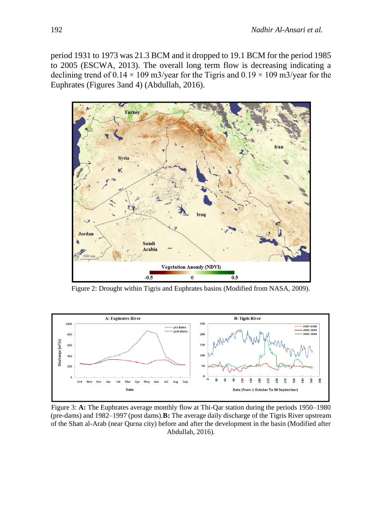period 1931 to 1973 was 21.3 BCM and it dropped to 19.1 BCM for the period 1985 to 2005 (ESCWA, 2013). The overall long term flow is decreasing indicating a declining trend of  $0.14 \times 109$  m3/year for the Tigris and  $0.19 \times 109$  m3/year for the Euphrates (Figures 3and 4) (Abdullah, 2016).



Figure 2: Drought within Tigris and Euphrates basins (Modified from NASA, 2009).



Figure 3: A: The Euphrates average monthly flow at Thi-Qar station during the periods 1950–1980 (pre-dams) and 1982–1997 (post dams).**B:** The average daily discharge of the Tigris River upstream of the Shatt al-Arab (near Qurna city) before and after the development in the basin (Modified after Abdullah, 2016).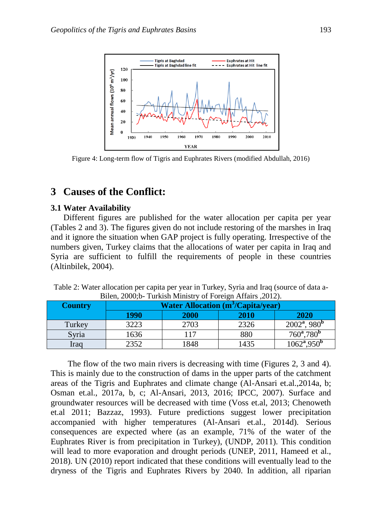

Figure 4: Long-term flow of Tigris and Euphrates Rivers (modified Abdullah, 2016)

# **3 Causes of the Conflict:**

#### **3.1 Water Availability**

Different figures are published for the water allocation per capita per year (Tables 2 and 3). The figures given do not include restoring of the marshes in Iraq and it ignore the situation when GAP project is fully operating. Irrespective of the numbers given, Turkey claims that the allocations of water per capita in Iraq and Syria are sufficient to fulfill the requirements of people in these countries (Altinbilek, 2004).

| <b>Country</b> | <b>Water Allocation (m<sup>3</sup>/Capita/year)</b> |      |      |                                   |  |
|----------------|-----------------------------------------------------|------|------|-----------------------------------|--|
|                | 1990                                                | 2000 | 2010 | 2020                              |  |
| Turkey         | 3223                                                | 2703 | 2326 | $2002^{\rm a}$ , 980 <sup>b</sup> |  |
| Syria          | 1636                                                | 117  | 880  | $760^{\rm a}$ , 780 <sup>b</sup>  |  |
| Iraq           | 2352                                                | 1848 | 1435 | $1062^{\rm a}$ ,950 <sup>b</sup>  |  |

Table 2: Water allocation per capita per year in Turkey, Syria and Iraq (source of data a-Bilen, 2000;b- Turkish Ministry of Foreign Affairs (2012).

The flow of the two main rivers is decreasing with time (Figures 2, 3 and 4). This is mainly due to the construction of dams in the upper parts of the catchment areas of the Tigris and Euphrates and climate change (Al-Ansari et.al.,2014a, b; Osman et.al., 2017a, b, c; Al-Ansari, 2013, 2016; IPCC, 2007). Surface and groundwater resources will be decreased with time (Voss et.al, 2013; Chenoweth et.al 2011; Bazzaz, 1993). Future predictions suggest lower precipitation accompanied with higher temperatures (Al-Ansari et.al., 2014d). Serious consequences are expected where (as an example, 71% of the water of the Euphrates River is from precipitation in Turkey), (UNDP, 2011). This condition will lead to more evaporation and drought periods (UNEP, 2011, Hameed et al., 2018). UN (2010) report indicated that these conditions will eventually lead to the dryness of the Tigris and Euphrates Rivers by 2040. In addition, all riparian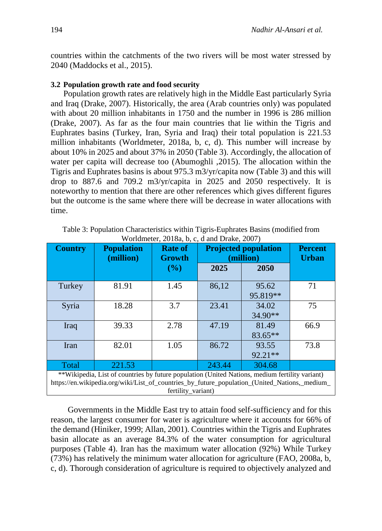countries within the catchments of the two rivers will be most water stressed by 2040 (Maddocks et al., 2015).

#### **3.2 Population growth rate and food security**

Population growth rates are relatively high in the Middle East particularly Syria and Iraq (Drake, 2007). Historically, the area (Arab countries only) was populated with about 20 million inhabitants in 1750 and the number in 1996 is 286 million (Drake, 2007). As far as the four main countries that lie within the Tigris and Euphrates basins (Turkey, Iran, Syria and Iraq) their total population is 221.53 million inhabitants (Worldmeter, 2018a, b, c, d). This number will increase by about 10% in 2025 and about 37% in 2050 (Table 3). Accordingly, the allocation of water per capita will decrease too (Abumoghli ,2015). The allocation within the Tigris and Euphrates basins is about 975.3 m3/yr/capita now (Table 3) and this will drop to 887.6 and 709.2 m3/yr/capita in 2025 and 2050 respectively. It is noteworthy to mention that there are other references which gives different figures but the outcome is the same where there will be decrease in water allocations with time.

| <b>Country</b>                                                                                                                                                                                                        | <b>Population</b><br>(million) | <b>Rate of</b><br><b>Growth</b> | <b>Projected population</b><br>(million) | <b>Percent</b><br><b>Urban</b> |      |
|-----------------------------------------------------------------------------------------------------------------------------------------------------------------------------------------------------------------------|--------------------------------|---------------------------------|------------------------------------------|--------------------------------|------|
|                                                                                                                                                                                                                       |                                | (%)                             | 2025                                     | 2050                           |      |
| Turkey                                                                                                                                                                                                                | 81.91                          | 1.45                            | 86,12                                    | 95.62<br>95.819**              | 71   |
| Syria                                                                                                                                                                                                                 | 18.28                          | 3.7                             | 23.41                                    | 34.02<br>34.90**               | 75   |
| Iraq                                                                                                                                                                                                                  | 39.33                          | 2.78                            | 47.19                                    | 81.49<br>83.65**               | 66.9 |
| Iran                                                                                                                                                                                                                  | 82.01                          | 1.05                            | 86.72                                    | 93.55<br>$92.21**$             | 73.8 |
| Total                                                                                                                                                                                                                 | 221.53                         |                                 | 243.44                                   | 304.68                         |      |
| **Wikipedia, List of countries by future population (United Nations, medium fertility variant)<br>https://en.wikipedia.org/wiki/List_of_countries_by_future_population_(United_Nations,_medium_<br>fertility variant) |                                |                                 |                                          |                                |      |

Table 3: Population Characteristics within Tigris-Euphrates Basins (modified from Worldmeter, 2018a, b, c, d and Drake, 2007)

Governments in the Middle East try to attain food self-sufficiency and for this reason, the largest consumer for water is agriculture where it accounts for 66% of the demand (Hiniker, 1999; Allan, 2001). Countries within the Tigris and Euphrates basin allocate as an average 84.3% of the water consumption for agricultural purposes (Table 4). Iran has the maximum water allocation (92%) While Turkey (73%) has relatively the minimum water allocation for agriculture (FAO, 2008a, b, c, d). Thorough consideration of agriculture is required to objectively analyzed and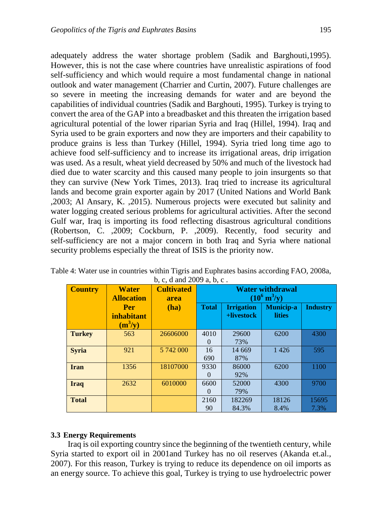adequately address the water shortage problem (Sadik and Barghouti,1995). However, this is not the case where countries have unrealistic aspirations of food self-sufficiency and which would require a most fundamental change in national outlook and water management (Charrier and Curtin, 2007). Future challenges are so severe in meeting the increasing demands for water and are beyond the capabilities of individual countries (Sadik and Barghouti, 1995). Turkey is trying to convert the area of the GAP into a breadbasket and this threaten the irrigation based agricultural potential of the lower riparian Syria and Iraq (Hillel, 1994). Iraq and Syria used to be grain exporters and now they are importers and their capability to produce grains is less than Turkey (Hillel, 1994). Syria tried long time ago to achieve food self-sufficiency and to increase its irrigational areas, drip irrigation was used. As a result, wheat yield decreased by 50% and much of the livestock had died due to water scarcity and this caused many people to join insurgents so that they can survive (New York Times, 2013). Iraq tried to increase its agricultural lands and become grain exporter again by 2017 (United Nations and World Bank ,2003; Al Ansary, K. ,2015). Numerous projects were executed but salinity and water logging created serious problems for agricultural activities. After the second Gulf war, Iraq is importing its food reflecting disastrous agricultural conditions (Robertson, C. ,2009; Cockburn, P. ,2009). Recently, food security and self-sufficiency are not a major concern in both Iraq and Syria where national security problems especially the threat of ISIS is the priority now.

| <b>Country</b> | <b>Water</b><br><b>Allocation</b>     | <b>Cultivated</b><br>area | <b>Water withdrawal</b><br>$(10^6 \text{ m}^3/\text{y})$ |                                 |                            |                 |
|----------------|---------------------------------------|---------------------------|----------------------------------------------------------|---------------------------------|----------------------------|-----------------|
|                | <b>Per</b><br>inhabitant<br>$(m^3/y)$ | (ha)                      | <b>Total</b>                                             | <b>Irrigation</b><br>+livestock | Municip-a<br><b>lities</b> | <b>Industry</b> |
| <b>Turkey</b>  | 563                                   | 26606000                  | 4010<br>$\theta$                                         | 29600<br>73%                    | 6200                       | 4300            |
| <b>Syria</b>   | 921                                   | 5 742 000                 | 16<br>690                                                | 14 6 69<br>87%                  | 1426                       | 595             |
| <b>Iran</b>    | 1356                                  | 18107000                  | 9330<br>$\Omega$                                         | 86000<br>92%                    | 6200                       | 1100            |
| <b>Iraq</b>    | 2632                                  | 6010000                   | 6600<br>$\theta$                                         | 52000<br>79%                    | 4300                       | 9700            |
| <b>Total</b>   |                                       |                           | 2160<br>90                                               | 182269<br>84.3%                 | 18126<br>8.4%              | 15695<br>7.3%   |

Table 4: Water use in countries within Tigris and Euphrates basins according FAO, 2008a, b, c, d and 2009 a, b, c .

#### **3.3 Energy Requirements**

Iraq is oil exporting country since the beginning of the twentieth century, while Syria started to export oil in 2001and Turkey has no oil reserves (Akanda et.al., 2007). For this reason, Turkey is trying to reduce its dependence on oil imports as an energy source. To achieve this goal, Turkey is trying to use hydroelectric power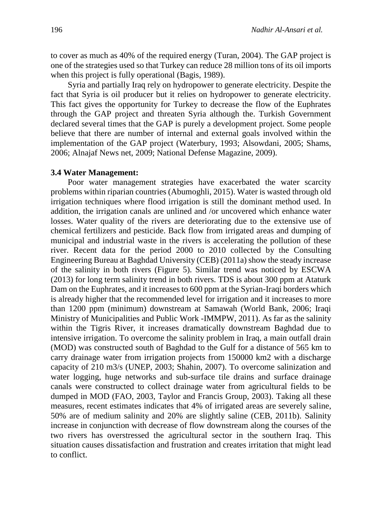to cover as much as 40% of the required energy (Turan, 2004). The GAP project is one of the strategies used so that Turkey can reduce 28 million tons of its oil imports when this project is fully operational (Bagis, 1989).

Syria and partially Iraq rely on hydropower to generate electricity. Despite the fact that Syria is oil producer but it relies on hydropower to generate electricity. This fact gives the opportunity for Turkey to decrease the flow of the Euphrates through the GAP project and threaten Syria although the. Turkish Government declared several times that the GAP is purely a development project. Some people believe that there are number of internal and external goals involved within the implementation of the GAP project (Waterbury, 1993; Alsowdani, 2005; Shams, 2006; Alnajaf News net, 2009; National Defense Magazine, 2009).

#### **3.4 Water Management:**

Poor water management strategies have exacerbated the water scarcity problems within riparian countries (Abumoghli, 2015). Water is wasted through old irrigation techniques where flood irrigation is still the dominant method used. In addition, the irrigation canals are unlined and /or uncovered which enhance water losses. Water quality of the rivers are deteriorating due to the extensive use of chemical fertilizers and pesticide. Back flow from irrigated areas and dumping of municipal and industrial waste in the rivers is accelerating the pollution of these river. Recent data for the period 2000 to 2010 collected by the Consulting Engineering Bureau at Baghdad University (CEB) (2011a) show the steady increase of the salinity in both rivers (Figure 5). Similar trend was noticed by ESCWA (2013) for long term salinity trend in both rivers. TDS is about 300 ppm at Ataturk Dam on the Euphrates, and it increases to 600 ppm at the Syrian-Iraqi borders which is already higher that the recommended level for irrigation and it increases to more than 1200 ppm (minimum) downstream at Samawah (World Bank, 2006; Iraqi Ministry of Municipalities and Public Work -IMMPW, 2011). As far as the salinity within the Tigris River, it increases dramatically downstream Baghdad due to intensive irrigation. To overcome the salinity problem in Iraq, a main outfall drain (MOD) was constructed south of Baghdad to the Gulf for a distance of 565 km to carry drainage water from irrigation projects from 150000 km2 with a discharge capacity of 210 m3/s (UNEP, 2003; Shahin, 2007). To overcome salinization and water logging, huge networks and sub-surface tile drains and surface drainage canals were constructed to collect drainage water from agricultural fields to be dumped in MOD (FAO, 2003, Taylor and Francis Group, 2003). Taking all these measures, recent estimates indicates that 4% of irrigated areas are severely saline, 50% are of medium salinity and 20% are slightly saline (CEB, 2011b). Salinity increase in conjunction with decrease of flow downstream along the courses of the two rivers has overstressed the agricultural sector in the southern Iraq. This situation causes dissatisfaction and frustration and creates irritation that might lead to conflict.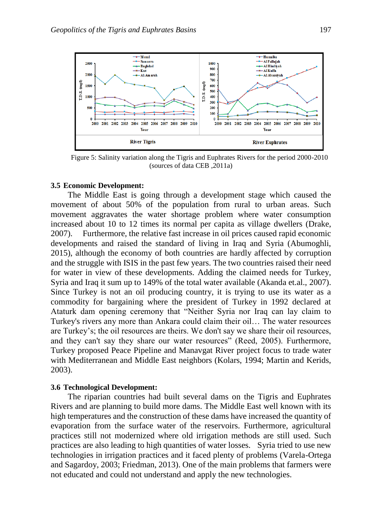

Figure 5: Salinity variation along the Tigris and Euphrates Rivers for the period 2000-2010 (sources of data CEB ,2011a)

#### **3.5 Economic Development:**

The Middle East is going through a development stage which caused the movement of about 50% of the population from rural to urban areas. Such movement aggravates the water shortage problem where water consumption increased about 10 to 12 times its normal per capita as village dwellers (Drake, 2007). Furthermore, the relative fast increase in oil prices caused rapid economic developments and raised the standard of living in Iraq and Syria (Abumoghli, 2015), although the economy of both countries are hardly affected by corruption and the struggle with ISIS in the past few years. The two countries raised their need for water in view of these developments. Adding the claimed needs for Turkey, Syria and Iraq it sum up to 149% of the total water available (Akanda et.al., 2007). Since Turkey is not an oil producing country, it is trying to use its water as a commodity for bargaining where the president of Turkey in 1992 declared at Ataturk dam opening ceremony that "Neither Syria nor Iraq can lay claim to Turkey's rivers any more than Ankara could claim their oil… The water resources are Turkey's; the oil resources are theirs. We don't say we share their oil resources, and they can't say they share our water resources" (Reed, 2005). Furthermore, Turkey proposed Peace Pipeline and Manavgat River project focus to trade water with Mediterranean and Middle East neighbors (Kolars, 1994; Martin and Kerids, 2003).

#### **3.6 Technological Development:**

The riparian countries had built several dams on the Tigris and Euphrates Rivers and are planning to build more dams. The Middle East well known with its high temperatures and the construction of these dams have increased the quantity of evaporation from the surface water of the reservoirs. Furthermore, agricultural practices still not modernized where old irrigation methods are still used. Such practices are also leading to high quantities of water losses. Syria tried to use new technologies in irrigation practices and it faced plenty of problems (Varela-Ortega and Sagardoy, 2003; Friedman, 2013). One of the main problems that farmers were not educated and could not understand and apply the new technologies.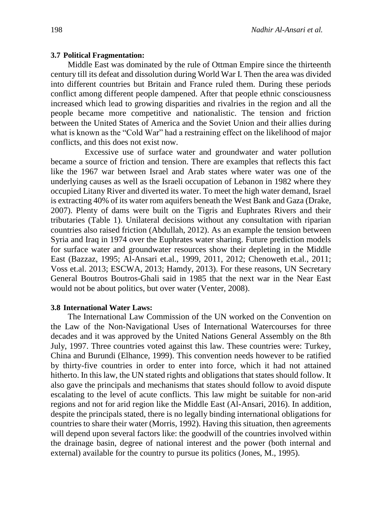#### **3.7 Political Fragmentation:**

Middle East was dominated by the rule of Ottman Empire since the thirteenth century till its defeat and dissolution during World War I. Then the area was divided into different countries but Britain and France ruled them. During these periods conflict among different people dampened. After that people ethnic consciousness increased which lead to growing disparities and rivalries in the region and all the people became more competitive and nationalistic. The tension and friction between the United States of America and the Soviet Union and their allies during what is known as the "Cold War" had a restraining effect on the likelihood of major conflicts, and this does not exist now.

Excessive use of surface water and groundwater and water pollution became a source of friction and tension. There are examples that reflects this fact like the 1967 war between Israel and Arab states where water was one of the underlying causes as well as the Israeli occupation of Lebanon in 1982 where they occupied Litany River and diverted its water. To meet the high water demand, Israel is extracting 40% of its water rom aquifers beneath the West Bank and Gaza (Drake, 2007). Plenty of dams were built on the Tigris and Euphrates Rivers and their tributaries (Table 1). Unilateral decisions without any consultation with riparian countries also raised friction (Abdullah, 2012). As an example the tension between Syria and Iraq in 1974 over the Euphrates water sharing. Future prediction models for surface water and groundwater resources show their depleting in the Middle East (Bazzaz, 1995; Al-Ansari et.al., 1999, 2011, 2012; Chenoweth et.al., 2011; Voss et.al. 2013; ESCWA, 2013; Hamdy, 2013). For these reasons, UN Secretary General Boutros Boutros-Ghali said in 1985 that the next war in the Near East would not be about politics, but over water (Venter, 2008).

#### **3.8 International Water Laws:**

The International Law Commission of the UN worked on the Convention on the Law of the Non-Navigational Uses of International Watercourses for three decades and it was approved by the United Nations General Assembly on the 8th July, 1997. Three countries voted against this law. These countries were: Turkey, China and Burundi (Elhance, 1999). This convention needs however to be ratified by thirty-five countries in order to enter into force, which it had not attained hitherto. In this law, the UN stated rights and obligations that states should follow. It also gave the principals and mechanisms that states should follow to avoid dispute escalating to the level of acute conflicts. This law might be suitable for non-arid regions and not for arid region like the Middle East (Al-Ansari, 2016). In addition, despite the principals stated, there is no legally binding international obligations for countries to share their water (Morris, 1992). Having this situation, then agreements will depend upon several factors like: the goodwill of the countries involved within the drainage basin, degree of national interest and the power (both internal and external) available for the country to pursue its politics (Jones, M., 1995).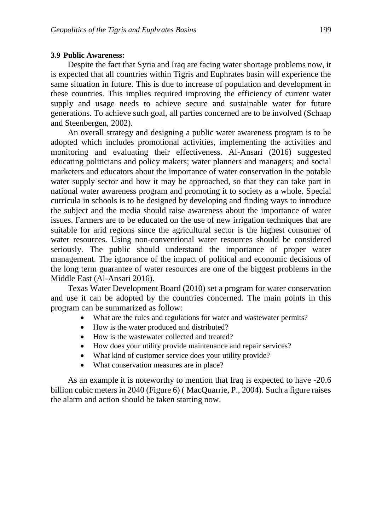#### **3.9 Public Awareness:**

Despite the fact that Syria and Iraq are facing water shortage problems now, it is expected that all countries within Tigris and Euphrates basin will experience the same situation in future. This is due to increase of population and development in these countries. This implies required improving the efficiency of current water supply and usage needs to achieve secure and sustainable water for future generations. To achieve such goal, all parties concerned are to be involved (Schaap and Steenbergen, 2002).

An overall strategy and designing a public water awareness program is to be adopted which includes promotional activities, implementing the activities and monitoring and evaluating their effectiveness. Al-Ansari (2016) suggested educating politicians and policy makers; water planners and managers; and social marketers and educators about the importance of water conservation in the potable water supply sector and how it may be approached, so that they can take part in national water awareness program and promoting it to society as a whole. Special curricula in schools is to be designed by developing and finding ways to introduce the subject and the media should raise awareness about the importance of water issues. Farmers are to be educated on the use of new irrigation techniques that are suitable for arid regions since the agricultural sector is the highest consumer of water resources. Using non-conventional water resources should be considered seriously. The public should understand the importance of proper water management. The ignorance of the impact of political and economic decisions of the long term guarantee of water resources are one of the biggest problems in the Middle East (Al-Ansari 2016).

Texas Water Development Board (2010) set a program for water conservation and use it can be adopted by the countries concerned. The main points in this program can be summarized as follow:

- What are the rules and regulations for water and wastewater permits?
- How is the water produced and distributed?
- How is the wastewater collected and treated?
- How does your utility provide maintenance and repair services?
- What kind of customer service does your utility provide?
- What conservation measures are in place?

As an example it is noteworthy to mention that Iraq is expected to have -20.6 billion cubic meters in 2040 (Figure 6) ( MacQuarrie, P., 2004). Such a figure raises the alarm and action should be taken starting now.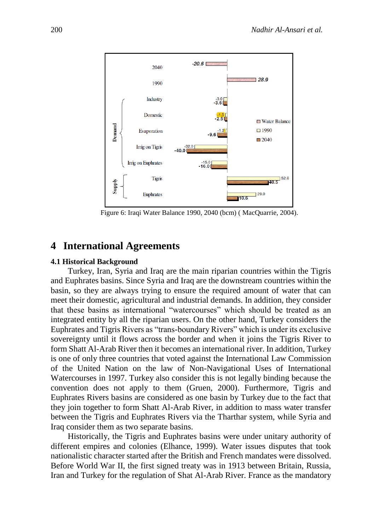

Figure 6: Iraqi Water Balance 1990, 2040 (bcm) ( MacQuarrie, 2004).

### **4 International Agreements**

#### **4.1 Historical Background**

Turkey, Iran, Syria and Iraq are the main riparian countries within the Tigris and Euphrates basins. Since Syria and Iraq are the downstream countries within the basin, so they are always trying to ensure the required amount of water that can meet their domestic, agricultural and industrial demands. In addition, they consider that these basins as international "watercourses" which should be treated as an integrated entity by all the riparian users. On the other hand, Turkey considers the Euphrates and Tigris Rivers as "trans-boundary Rivers" which is under its exclusive sovereignty until it flows across the border and when it joins the Tigris River to form Shatt Al-Arab River then it becomes an international river. In addition, Turkey is one of only three countries that voted against the International Law Commission of the United Nation on the law of Non-Navigational Uses of International Watercourses in 1997. Turkey also consider this is not legally binding because the convention does not apply to them (Gruen, 2000). Furthermore, Tigris and Euphrates Rivers basins are considered as one basin by Turkey due to the fact that they join together to form Shatt Al-Arab River, in addition to mass water transfer between the Tigris and Euphrates Rivers via the Tharthar system, while Syria and Iraq consider them as two separate basins.

Historically, the Tigris and Euphrates basins were under unitary authority of different empires and colonies (Elhance, 1999). Water issues disputes that took nationalistic character started after the British and French mandates were dissolved. Before World War II, the first signed treaty was in 1913 between Britain, Russia, Iran and Turkey for the regulation of Shat Al-Arab River. France as the mandatory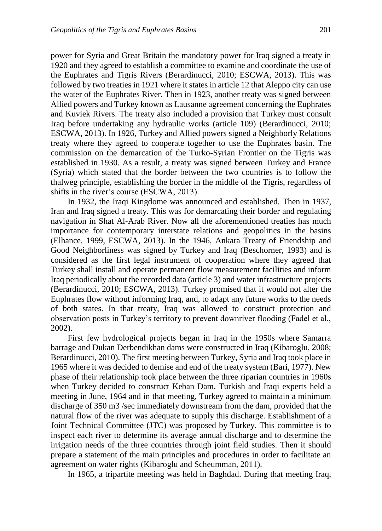power for Syria and Great Britain the mandatory power for Iraq signed a treaty in 1920 and they agreed to establish a committee to examine and coordinate the use of the Euphrates and Tigris Rivers (Berardinucci, 2010; ESCWA, 2013). This was followed by two treaties in 1921 where it states in article 12 that Aleppo city can use the water of the Euphrates River. Then in 1923, another treaty was signed between Allied powers and Turkey known as Lausanne agreement concerning the Euphrates and Kuviek Rivers. The treaty also included a provision that Turkey must consult Iraq before undertaking any hydraulic works (article 109) (Berardinucci, 2010; ESCWA, 2013). In 1926, Turkey and Allied powers signed a Neighborly Relations treaty where they agreed to cooperate together to use the Euphrates basin. The commission on the demarcation of the Turko-Syrian Frontier on the Tigris was established in 1930. As a result, a treaty was signed between Turkey and France (Syria) which stated that the border between the two countries is to follow the thalweg principle, establishing the border in the middle of the Tigris, regardless of shifts in the river's course (ESCWA, 2013).

In 1932, the Iraqi Kingdome was announced and established. Then in 1937, Iran and Iraq signed a treaty. This was for demarcating their border and regulating navigation in Shat Al-Arab River. Now all the aforementioned treaties has much importance for contemporary interstate relations and geopolitics in the basins (Elhance, 1999, ESCWA, 2013). In the 1946, Ankara Treaty of Friendship and Good Neighborliness was signed by Turkey and Iraq (Beschorner, 1993) and is considered as the first legal instrument of cooperation where they agreed that Turkey shall install and operate permanent flow measurement facilities and inform Iraq periodically about the recorded data (article 3) and water infrastructure projects (Berardinucci, 2010; ESCWA, 2013). Turkey promised that it would not alter the Euphrates flow without informing Iraq, and, to adapt any future works to the needs of both states. In that treaty, Iraq was allowed to construct protection and observation posts in Turkey's territory to prevent downriver flooding (Fadel et al., 2002).

First few hydrological projects began in Iraq in the 1950s where Samarra barrage and Dukan Derbendikhan dams were constructed in Iraq (Kibaroglu, 2008; Berardinucci, 2010). The first meeting between Turkey, Syria and Iraq took place in 1965 where it was decided to demise and end of the treaty system (Bari, 1977). New phase of their relationship took place between the three riparian countries in 1960s when Turkey decided to construct Keban Dam. Turkish and Iraqi experts held a meeting in June, 1964 and in that meeting, Turkey agreed to maintain a minimum discharge of 350 m3 /sec immediately downstream from the dam, provided that the natural flow of the river was adequate to supply this discharge. Establishment of a Joint Technical Committee (JTC) was proposed by Turkey. This committee is to inspect each river to determine its average annual discharge and to determine the irrigation needs of the three countries through joint field studies. Then it should prepare a statement of the main principles and procedures in order to facilitate an agreement on water rights (Kibaroglu and Scheumman, 2011).

In 1965, a tripartite meeting was held in Baghdad. During that meeting Iraq,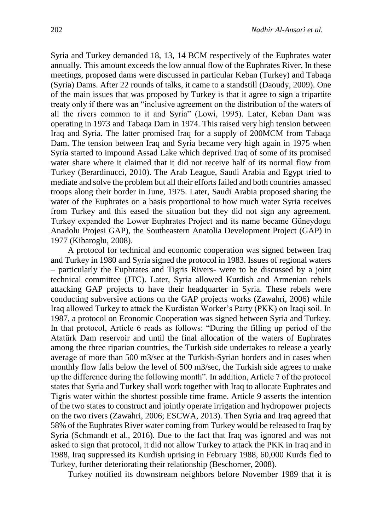Syria and Turkey demanded 18, 13, 14 BCM respectively of the Euphrates water annually. This amount exceeds the low annual flow of the Euphrates River. In these meetings, proposed dams were discussed in particular Keban (Turkey) and Tabaqa (Syria) Dams. After 22 rounds of talks, it came to a standstill (Daoudy, 2009). One of the main issues that was proposed by Turkey is that it agree to sign a tripartite treaty only if there was an "inclusive agreement on the distribution of the waters of all the rivers common to it and Syria" (Lowi, 1995). Later, Keban Dam was operating in 1973 and Tabaqa Dam in 1974. This raised very high tension between Iraq and Syria. The latter promised Iraq for a supply of 200MCM from Tabaqa Dam. The tension between Iraq and Syria became very high again in 1975 when Syria started to impound Assad Lake which deprived Iraq of some of its promised water share where it claimed that it did not receive half of its normal flow from Turkey (Berardinucci, 2010). The Arab League, Saudi Arabia and Egypt tried to mediate and solve the problem but all their efforts failed and both countries amassed troops along their border in June, 1975. Later, Saudi Arabia proposed sharing the water of the Euphrates on a basis proportional to how much water Syria receives from Turkey and this eased the situation but they did not sign any agreement. Turkey expanded the Lower Euphrates Project and its name became Güneydogu Anadolu Projesi GAP), the Southeastern Anatolia Development Project (GAP) in 1977 (Kibaroglu, 2008).

A protocol for technical and economic cooperation was signed between Iraq and Turkey in 1980 and Syria signed the protocol in 1983. Issues of regional waters – particularly the Euphrates and Tigris Rivers- were to be discussed by a joint technical committee (JTC). Later, Syria allowed Kurdish and Armenian rebels attacking GAP projects to have their headquarter in Syria. These rebels were conducting subversive actions on the GAP projects works (Zawahri, 2006) while Iraq allowed Turkey to attack the Kurdistan Worker's Party (PKK) on Iraqi soil. In 1987, a protocol on Economic Cooperation was signed between Syria and Turkey. In that protocol, Article 6 reads as follows: "During the filling up period of the Atatürk Dam reservoir and until the final allocation of the waters of Euphrates among the three riparian countries, the Turkish side undertakes to release a yearly average of more than 500 m3/sec at the Turkish-Syrian borders and in cases when monthly flow falls below the level of 500 m3/sec, the Turkish side agrees to make up the difference during the following month". In addition, Article 7 of the protocol states that Syria and Turkey shall work together with Iraq to allocate Euphrates and Tigris water within the shortest possible time frame. Article 9 asserts the intention of the two states to construct and jointly operate irrigation and hydropower projects on the two rivers (Zawahri, 2006; ESCWA, 2013). Then Syria and Iraq agreed that 58% of the Euphrates River water coming from Turkey would be released to Iraq by Syria (Schmandt et al., 2016). Due to the fact that Iraq was ignored and was not asked to sign that protocol, it did not allow Turkey to attack the PKK in Iraq and in 1988, Iraq suppressed its Kurdish uprising in February 1988, 60,000 Kurds fled to Turkey, further deteriorating their relationship (Beschorner, 2008).

Turkey notified its downstream neighbors before November 1989 that it is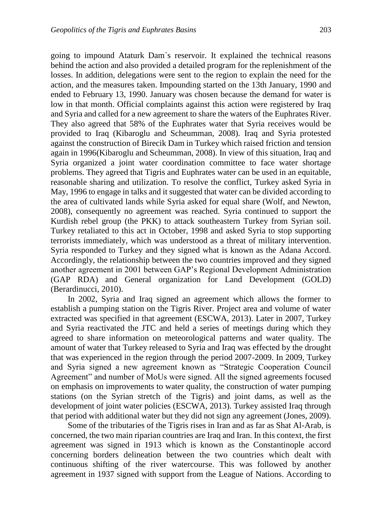going to impound Ataturk Dam`s reservoir. It explained the technical reasons behind the action and also provided a detailed program for the replenishment of the losses. In addition, delegations were sent to the region to explain the need for the action, and the measures taken. Impounding started on the 13th January, 1990 and ended to February 13, 1990. January was chosen because the demand for water is low in that month. Official complaints against this action were registered by Iraq and Syria and called for a new agreement to share the waters of the Euphrates River. They also agreed that 58% of the Euphrates water that Syria receives would be provided to Iraq (Kibaroglu and Scheumman, 2008). Iraq and Syria protested against the construction of Birecik Dam in Turkey which raised friction and tension again in 1996(Kibaroglu and Scheumman, 2008). In view of this situation, Iraq and Syria organized a joint water coordination committee to face water shortage problems. They agreed that Tigris and Euphrates water can be used in an equitable, reasonable sharing and utilization. To resolve the conflict, Turkey asked Syria in May, 1996 to engage in talks and it suggested that water can be divided according to the area of cultivated lands while Syria asked for equal share (Wolf, and Newton, 2008), consequently no agreement was reached. Syria continued to support the Kurdish rebel group (the PKK) to attack southeastern Turkey from Syrian soil. Turkey retaliated to this act in October, 1998 and asked Syria to stop supporting terrorists immediately, which was understood as a threat of military intervention. Syria responded to Turkey and they signed what is known as the Adana Accord. Accordingly, the relationship between the two countries improved and they signed another agreement in 2001 between GAP's Regional Development Administration (GAP RDA) and General organization for Land Development (GOLD) (Berardinucci, 2010).

In 2002, Syria and Iraq signed an agreement which allows the former to establish a pumping station on the Tigris River. Project area and volume of water extracted was specified in that agreement (ESCWA, 2013). Later in 2007, Turkey and Syria reactivated the JTC and held a series of meetings during which they agreed to share information on meteorological patterns and water quality. The amount of water that Turkey released to Syria and Iraq was effected by the drought that was experienced in the region through the period 2007-2009. In 2009, Turkey and Syria signed a new agreement known as "Strategic Cooperation Council Agreement" and number of MoUs were signed. All the signed agreements focused on emphasis on improvements to water quality, the construction of water pumping stations (on the Syrian stretch of the Tigris) and joint dams, as well as the development of joint water policies (ESCWA, 2013). Turkey assisted Iraq through that period with additional water but they did not sign any agreement (Jones, 2009).

Some of the tributaries of the Tigris rises in Iran and as far as Shat Al-Arab, is concerned, the two main riparian countries are Iraq and Iran. In this context, the first agreement was signed in 1913 which is known as the Constantinople accord concerning borders delineation between the two countries which dealt with continuous shifting of the river watercourse. This was followed by another agreement in 1937 signed with support from the League of Nations. According to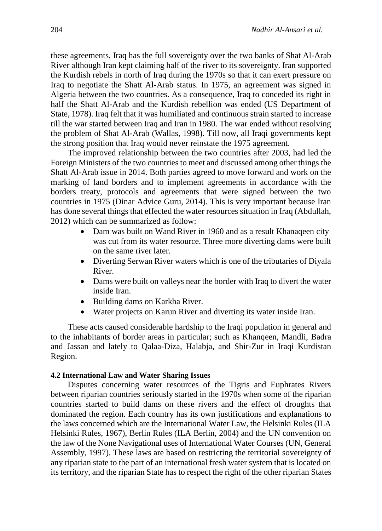these agreements, Iraq has the full sovereignty over the two banks of Shat Al-Arab River although Iran kept claiming half of the river to its sovereignty. Iran supported the Kurdish rebels in north of Iraq during the 1970s so that it can exert pressure on Iraq to negotiate the Shatt Al-Arab status. In 1975, an agreement was signed in Algeria between the two countries. As a consequence, Iraq to conceded its right in half the Shatt Al-Arab and the Kurdish rebellion was ended (US Department of State, 1978). Iraq felt that it was humiliated and continuous strain started to increase till the war started between Iraq and Iran in 1980. The war ended without resolving the problem of Shat Al-Arab (Wallas, 1998). Till now, all Iraqi governments kept the strong position that Iraq would never reinstate the 1975 agreement.

The improved relationship between the two countries after 2003, had led the Foreign Ministers of the two countries to meet and discussed among other things the Shatt Al-Arab issue in 2014. Both parties agreed to move forward and work on the marking of land borders and to implement agreements in accordance with the borders treaty, protocols and agreements that were signed between the two countries in 1975 (Dinar Advice Guru, 2014). This is very important because Iran has done several things that effected the water resources situation in Iraq (Abdullah, 2012) which can be summarized as follow:

- Dam was built on Wand River in 1960 and as a result Khanaqeen city was cut from its water resource. Three more diverting dams were built on the same river later.
- Diverting Serwan River waters which is one of the tributaries of Diyala River.
- Dams were built on valleys near the border with Iraq to divert the water inside Iran.
- Building dams on Karkha River.
- Water projects on Karun River and diverting its water inside Iran.

These acts caused considerable hardship to the Iraqi population in general and to the inhabitants of border areas in particular; such as Khanqeen, Mandli, Badra and Jassan and lately to Qalaa-Diza, Halabja, and Shir-Zur in Iraqi Kurdistan Region.

#### **4.2 International Law and Water Sharing Issues**

Disputes concerning water resources of the Tigris and Euphrates Rivers between riparian countries seriously started in the 1970s when some of the riparian countries started to build dams on these rivers and the effect of droughts that dominated the region. Each country has its own justifications and explanations to the laws concerned which are the International Water Law, the Helsinki Rules (ILA Helsinki Rules, 1967), Berlin Rules (ILA Berlin, 2004) and the UN convention on the law of the None Navigational uses of International Water Courses (UN, General Assembly, 1997). These laws are based on restricting the territorial sovereignty of any riparian state to the part of an international fresh water system that is located on its territory, and the riparian State has to respect the right of the other riparian States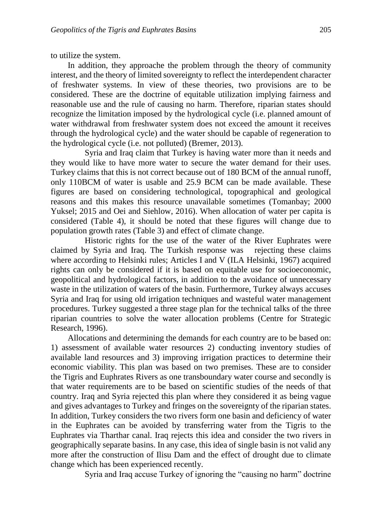to utilize the system.

In addition, they approache the problem through the theory of community interest, and the theory of limited sovereignty to reflect the interdependent character of freshwater systems. In view of these theories, two provisions are to be considered. These are the doctrine of equitable utilization implying fairness and reasonable use and the rule of causing no harm. Therefore, riparian states should recognize the limitation imposed by the hydrological cycle (i.e. planned amount of water withdrawal from freshwater system does not exceed the amount it receives through the hydrological cycle) and the water should be capable of regeneration to the hydrological cycle (i.e. not polluted) (Bremer, 2013).

Syria and Iraq claim that Turkey is having water more than it needs and they would like to have more water to secure the water demand for their uses. Turkey claims that this is not correct because out of 180 BCM of the annual runoff, only 110BCM of water is usable and 25.9 BCM can be made available. These figures are based on considering technological, topographical and geological reasons and this makes this resource unavailable sometimes (Tomanbay; 2000 Yuksel; 2015 and Oei and Siehlow, 2016). When allocation of water per capita is considered (Table 4), it should be noted that these figures will change due to population growth rates (Table 3) and effect of climate change.

Historic rights for the use of the water of the River Euphrates were claimed by Syria and Iraq. The Turkish response was rejecting these claims where according to Helsinki rules; Articles I and V (ILA Helsinki, 1967) acquired rights can only be considered if it is based on equitable use for socioeconomic, geopolitical and hydrological factors, in addition to the avoidance of unnecessary waste in the utilization of waters of the basin. Furthermore, Turkey always accuses Syria and Iraq for using old irrigation techniques and wasteful water management procedures. Turkey suggested a three stage plan for the technical talks of the three riparian countries to solve the water allocation problems (Centre for Strategic Research, 1996).

Allocations and determining the demands for each country are to be based on: 1) assessment of available water resources 2) conducting inventory studies of available land resources and 3) improving irrigation practices to determine their economic viability. This plan was based on two premises. These are to consider the Tigris and Euphrates Rivers as one transboundary water course and secondly is that water requirements are to be based on scientific studies of the needs of that country. Iraq and Syria rejected this plan where they considered it as being vague and gives advantages to Turkey and fringes on the sovereignty of the riparian states. In addition, Turkey considers the two rivers form one basin and deficiency of water in the Euphrates can be avoided by transferring water from the Tigris to the Euphrates via Tharthar canal. Iraq rejects this idea and consider the two rivers in geographically separate basins. In any case, this idea of single basin is not valid any more after the construction of Ilisu Dam and the effect of drought due to climate change which has been experienced recently.

Syria and Iraq accuse Turkey of ignoring the "causing no harm" doctrine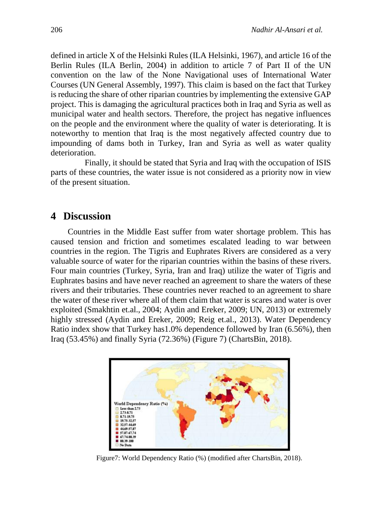defined in article X of the Helsinki Rules (ILA Helsinki, 1967), and article 16 of the Berlin Rules (ILA Berlin, 2004) in addition to article 7 of Part II of the UN convention on the law of the None Navigational uses of International Water Courses (UN General Assembly, 1997). This claim is based on the fact that Turkey is reducing the share of other riparian countries by implementing the extensive GAP project. This is damaging the agricultural practices both in Iraq and Syria as well as municipal water and health sectors. Therefore, the project has negative influences on the people and the environment where the quality of water is deteriorating. It is noteworthy to mention that Iraq is the most negatively affected country due to impounding of dams both in Turkey, Iran and Syria as well as water quality deterioration.

Finally, it should be stated that Syria and Iraq with the occupation of ISIS parts of these countries, the water issue is not considered as a priority now in view of the present situation.

### **4 Discussion**

Countries in the Middle East suffer from water shortage problem. This has caused tension and friction and sometimes escalated leading to war between countries in the region. The Tigris and Euphrates Rivers are considered as a very valuable source of water for the riparian countries within the basins of these rivers. Four main countries (Turkey, Syria, Iran and Iraq) utilize the water of Tigris and Euphrates basins and have never reached an agreement to share the waters of these rivers and their tributaries. These countries never reached to an agreement to share the water of these river where all of them claim that water is scares and water is over exploited (Smakhtin et.al., 2004; Aydin and Ereker, 2009; UN, 2013) or extremely highly stressed (Aydin and Ereker, 2009; Reig et.al., 2013). Water Dependency Ratio index show that Turkey has1.0% dependence followed by Iran (6.56%), then Iraq (53.45%) and finally Syria (72.36%) (Figure 7) (ChartsBin, 2018).



Figure7: World Dependency Ratio (%) (modified after ChartsBin, 2018).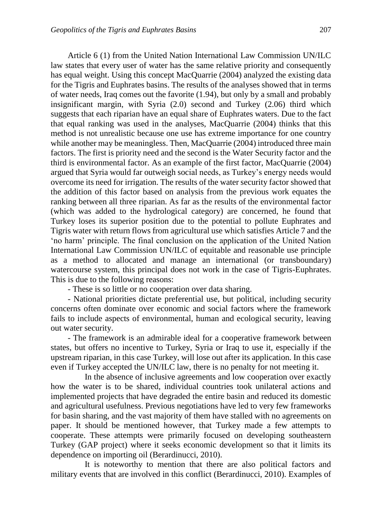Article 6 (1) from the United Nation International Law Commission UN/ILC law states that every user of water has the same relative priority and consequently has equal weight. Using this concept MacQuarrie (2004) analyzed the existing data for the Tigris and Euphrates basins. The results of the analyses showed that in terms of water needs, Iraq comes out the favorite (1.94), but only by a small and probably insignificant margin, with Syria (2.0) second and Turkey (2.06) third which suggests that each riparian have an equal share of Euphrates waters. Due to the fact that equal ranking was used in the analyses, MacQuarrie (2004) thinks that this method is not unrealistic because one use has extreme importance for one country while another may be meaningless. Then, MacQuarrie (2004) introduced three main factors. The first is priority need and the second is the Water Security factor and the third is environmental factor. As an example of the first factor, MacQuarrie (2004) argued that Syria would far outweigh social needs, as Turkey's energy needs would overcome its need for irrigation. The results of the water security factor showed that the addition of this factor based on analysis from the previous work equates the ranking between all three riparian. As far as the results of the environmental factor (which was added to the hydrological category) are concerned, he found that Turkey loses its superior position due to the potential to pollute Euphrates and Tigris water with return flows from agricultural use which satisfies Article 7 and the 'no harm' principle. The final conclusion on the application of the United Nation International Law Commission UN/ILC of equitable and reasonable use principle as a method to allocated and manage an international (or transboundary) watercourse system, this principal does not work in the case of Tigris-Euphrates. This is due to the following reasons:

- These is so little or no cooperation over data sharing.

- National priorities dictate preferential use, but political, including security concerns often dominate over economic and social factors where the framework fails to include aspects of environmental, human and ecological security, leaving out water security.

- The framework is an admirable ideal for a cooperative framework between states, but offers no incentive to Turkey, Syria or Iraq to use it, especially if the upstream riparian, in this case Turkey, will lose out after its application. In this case even if Turkey accepted the UN/ILC law, there is no penalty for not meeting it.

In the absence of inclusive agreements and low cooperation over exactly how the water is to be shared, individual countries took unilateral actions and implemented projects that have degraded the entire basin and reduced its domestic and agricultural usefulness. Previous negotiations have led to very few frameworks for basin sharing, and the vast majority of them have stalled with no agreements on paper. It should be mentioned however, that Turkey made a few attempts to cooperate. These attempts were primarily focused on developing southeastern Turkey (GAP project) where it seeks economic development so that it limits its dependence on importing oil (Berardinucci, 2010).

It is noteworthy to mention that there are also political factors and military events that are involved in this conflict (Berardinucci, 2010). Examples of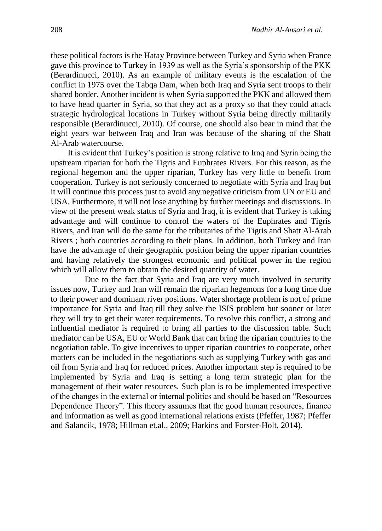these political factors is the Hatay Province between Turkey and Syria when France gave this province to Turkey in 1939 as well as the Syria's sponsorship of the PKK (Berardinucci, 2010). As an example of military events is the escalation of the conflict in 1975 over the Tabqa Dam, when both Iraq and Syria sent troops to their shared border. Another incident is when Syria supported the PKK and allowed them to have head quarter in Syria, so that they act as a proxy so that they could attack strategic hydrological locations in Turkey without Syria being directly militarily responsible (Berardinucci, 2010). Of course, one should also bear in mind that the eight years war between Iraq and Iran was because of the sharing of the Shatt Al-Arab watercourse.

It is evident that Turkey's position is strong relative to Iraq and Syria being the upstream riparian for both the Tigris and Euphrates Rivers. For this reason, as the regional hegemon and the upper riparian, Turkey has very little to benefit from cooperation. Turkey is not seriously concerned to negotiate with Syria and Iraq but it will continue this process just to avoid any negative criticism from UN or EU and USA. Furthermore, it will not lose anything by further meetings and discussions. In view of the present weak status of Syria and Iraq, it is evident that Turkey is taking advantage and will continue to control the waters of the Euphrates and Tigris Rivers, and Iran will do the same for the tributaries of the Tigris and Shatt Al-Arab Rivers ; both countries according to their plans. In addition, both Turkey and Iran have the advantage of their geographic position being the upper riparian countries and having relatively the strongest economic and political power in the region which will allow them to obtain the desired quantity of water.

Due to the fact that Syria and Iraq are very much involved in security issues now, Turkey and Iran will remain the riparian hegemons for a long time due to their power and dominant river positions. Water shortage problem is not of prime importance for Syria and Iraq till they solve the ISIS problem but sooner or later they will try to get their water requirements. To resolve this conflict, a strong and influential mediator is required to bring all parties to the discussion table. Such mediator can be USA, EU or World Bank that can bring the riparian countries to the negotiation table. To give incentives to upper riparian countries to cooperate, other matters can be included in the negotiations such as supplying Turkey with gas and oil from Syria and Iraq for reduced prices. Another important step is required to be implemented by Syria and Iraq is setting a long term strategic plan for the management of their water resources. Such plan is to be implemented irrespective of the changes in the external or internal politics and should be based on "Resources Dependence Theory". This theory assumes that the good human resources, finance and information as well as good international relations exists (Pfeffer, 1987; Pfeffer and Salancik, 1978; Hillman et.al., 2009; Harkins and Forster-Holt, 2014).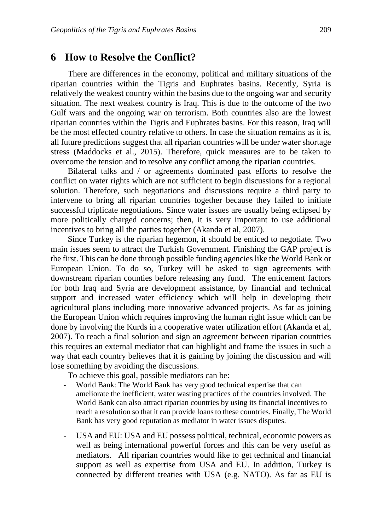### **6 How to Resolve the Conflict?**

There are differences in the economy, political and military situations of the riparian countries within the Tigris and Euphrates basins. Recently, Syria is relatively the weakest country within the basins due to the ongoing war and security situation. The next weakest country is Iraq. This is due to the outcome of the two Gulf wars and the ongoing war on terrorism. Both countries also are the lowest riparian countries within the Tigris and Euphrates basins. For this reason, Iraq will be the most effected country relative to others. In case the situation remains as it is, all future predictions suggest that all riparian countries will be under water shortage stress (Maddocks et al., 2015). Therefore, quick measures are to be taken to overcome the tension and to resolve any conflict among the riparian countries.

Bilateral talks and / or agreements dominated past efforts to resolve the conflict on water rights which are not sufficient to begin discussions for a regional solution. Therefore, such negotiations and discussions require a third party to intervene to bring all riparian countries together because they failed to initiate successful triplicate negotiations. Since water issues are usually being eclipsed by more politically charged concerns; then, it is very important to use additional incentives to bring all the parties together (Akanda et al, 2007).

Since Turkey is the riparian hegemon, it should be enticed to negotiate. Two main issues seem to attract the Turkish Government. Finishing the GAP project is the first. This can be done through possible funding agencies like the World Bank or European Union. To do so, Turkey will be asked to sign agreements with downstream riparian counties before releasing any fund. The enticement factors for both Iraq and Syria are development assistance, by financial and technical support and increased water efficiency which will help in developing their agricultural plans including more innovative advanced projects. As far as joining the European Union which requires improving the human right issue which can be done by involving the Kurds in a cooperative water utilization effort (Akanda et al, 2007). To reach a final solution and sign an agreement between riparian countries this requires an external mediator that can highlight and frame the issues in such a way that each country believes that it is gaining by joining the discussion and will lose something by avoiding the discussions.

To achieve this goal, possible mediators can be:

- World Bank: The World Bank has very good technical expertise that can ameliorate the inefficient, water wasting practices of the countries involved. The World Bank can also attract riparian countries by using its financial incentives to reach a resolution so that it can provide loans to these countries. Finally, The World Bank has very good reputation as mediator in water issues disputes.
- USA and EU: USA and EU possess political, technical, economic powers as well as being international powerful forces and this can be very useful as mediators. All riparian countries would like to get technical and financial support as well as expertise from USA and EU. In addition, Turkey is connected by different treaties with USA (e.g. NATO). As far as EU is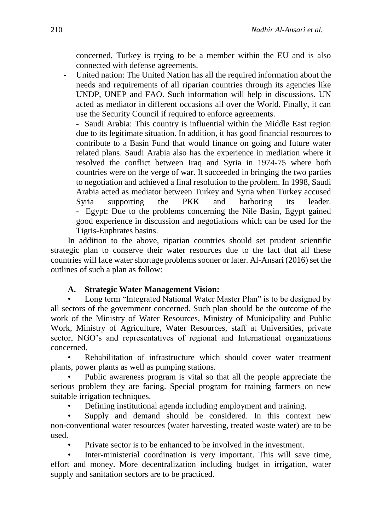concerned, Turkey is trying to be a member within the EU and is also connected with defense agreements.

- United nation: The United Nation has all the required information about the needs and requirements of all riparian countries through its agencies like UNDP, UNEP and FAO. Such information will help in discussions. UN acted as mediator in different occasions all over the World. Finally, it can use the Security Council if required to enforce agreements.

- Saudi Arabia: This country is influential within the Middle East region due to its legitimate situation. In addition, it has good financial resources to contribute to a Basin Fund that would finance on going and future water related plans. Saudi Arabia also has the experience in mediation where it resolved the conflict between Iraq and Syria in 1974-75 where both countries were on the verge of war. It succeeded in bringing the two parties to negotiation and achieved a final resolution to the problem. In 1998, Saudi Arabia acted as mediator between Turkey and Syria when Turkey accused Syria supporting the PKK and harboring its leader. - Egypt: Due to the problems concerning the Nile Basin, Egypt gained good experience in discussion and negotiations which can be used for the Tigris-Euphrates basins.

In addition to the above, riparian countries should set prudent scientific strategic plan to conserve their water resources due to the fact that all these countries will face water shortage problems sooner or later. Al-Ansari (2016) set the outlines of such a plan as follow:

### **A. Strategic Water Management Vision:**

• Long term "Integrated National Water Master Plan" is to be designed by all sectors of the government concerned. Such plan should be the outcome of the work of the Ministry of Water Resources, Ministry of Municipality and Public Work, Ministry of Agriculture, Water Resources, staff at Universities, private sector, NGO's and representatives of regional and International organizations concerned.

• Rehabilitation of infrastructure which should cover water treatment plants, power plants as well as pumping stations.

• Public awareness program is vital so that all the people appreciate the serious problem they are facing. Special program for training farmers on new suitable irrigation techniques.

• Defining institutional agenda including employment and training.

• Supply and demand should be considered. In this context new non-conventional water resources (water harvesting, treated waste water) are to be used.

• Private sector is to be enhanced to be involved in the investment.

• Inter-ministerial coordination is very important. This will save time, effort and money. More decentralization including budget in irrigation, water supply and sanitation sectors are to be practiced.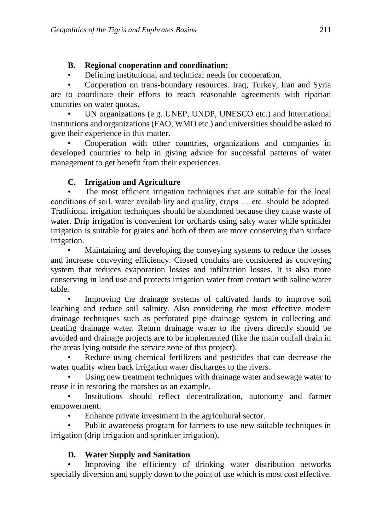## **B. Regional cooperation and coordination:**

• Defining institutional and technical needs for cooperation.

• Cooperation on trans-boundary resources. Iraq, Turkey, Iran and Syria are to coordinate their efforts to reach reasonable agreements with riparian countries on water quotas.

• UN organizations (e.g. UNEP, UNDP, UNESCO etc.) and International institutions and organizations (FAO, WMO etc.) and universities should be asked to give their experience in this matter.

• Cooperation with other countries, organizations and companies in developed countries to help in giving advice for successful patterns of water management to get benefit from their experiences.

# **C. Irrigation and Agriculture**

The most efficient irrigation techniques that are suitable for the local conditions of soil, water availability and quality, crops … etc. should be adopted. Traditional irrigation techniques should be abandoned because they cause waste of water. Drip irrigation is convenient for orchards using salty water while sprinkler irrigation is suitable for grains and both of them are more conserving than surface irrigation.

• Maintaining and developing the conveying systems to reduce the losses and increase conveying efficiency. Closed conduits are considered as conveying system that reduces evaporation losses and infiltration losses. It is also more conserving in land use and protects irrigation water from contact with saline water table.

Improving the drainage systems of cultivated lands to improve soil leaching and reduce soil salinity. Also considering the most effective modern drainage techniques such as perforated pipe drainage system in collecting and treating drainage water. Return drainage water to the rivers directly should be avoided and drainage projects are to be implemented (like the main outfall drain in the areas lying outside the service zone of this project).

• Reduce using chemical fertilizers and pesticides that can decrease the water quality when back irrigation water discharges to the rivers.

Using new treatment techniques with drainage water and sewage water to reuse it in restoring the marshes as an example.

Institutions should reflect decentralization, autonomy and farmer empowerment.

Enhance private investment in the agricultural sector.

• Public awareness program for farmers to use new suitable techniques in irrigation (drip irrigation and sprinkler irrigation).

# **D. Water Supply and Sanitation**

Improving the efficiency of drinking water distribution networks specially diversion and supply down to the point of use which is most cost effective.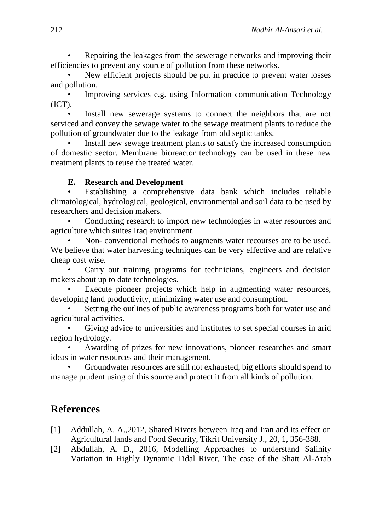• Repairing the leakages from the sewerage networks and improving their efficiencies to prevent any source of pollution from these networks.

New efficient projects should be put in practice to prevent water losses and pollution.

Improving services e.g. using Information communication Technology (ICT).

Install new sewerage systems to connect the neighbors that are not serviced and convey the sewage water to the sewage treatment plants to reduce the pollution of groundwater due to the leakage from old septic tanks.

Install new sewage treatment plants to satisfy the increased consumption of domestic sector. Membrane bioreactor technology can be used in these new treatment plants to reuse the treated water.

## **E. Research and Development**

• Establishing a comprehensive data bank which includes reliable climatological, hydrological, geological, environmental and soil data to be used by researchers and decision makers.

• Conducting research to import new technologies in water resources and agriculture which suites Iraq environment.

• Non- conventional methods to augments water recourses are to be used. We believe that water harvesting techniques can be very effective and are relative cheap cost wise.

Carry out training programs for technicians, engineers and decision makers about up to date technologies.

Execute pioneer projects which help in augmenting water resources, developing land productivity, minimizing water use and consumption.

• Setting the outlines of public awareness programs both for water use and agricultural activities.

Giving advice to universities and institutes to set special courses in arid region hydrology.

• Awarding of prizes for new innovations, pioneer researches and smart ideas in water resources and their management.

• Groundwater resources are still not exhausted, big efforts should spend to manage prudent using of this source and protect it from all kinds of pollution.

# **References**

- [1] Addullah, A. A.,2012, Shared Rivers between Iraq and Iran and its effect on Agricultural lands and Food Security, Tikrit University J., 20, 1, 356-388.
- [2] Abdullah, A. D., 2016, Modelling Approaches to understand Salinity Variation in Highly Dynamic Tidal River, The case of the Shatt Al-Arab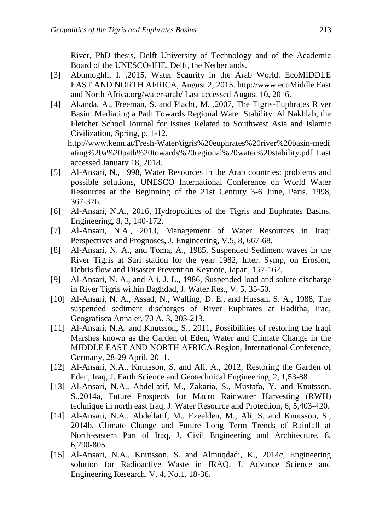River, PhD thesis, Delft University of Technology and of the Academic Board of the UNESCO-IHE, Delft, the Netherlands.

- [3] Abumoghli, I. ,2015, Water Scaurity in the Arab World. EcoMIDDLE EAST AND NORTH AFRICA, August 2, 2015. http://www.ecoMiddle East and North Africa.org/water-arab/ Last accessed August 10, 2016.
- [4] Akanda, A., Freeman, S. and Placht, M. ,2007, The Tigris-Euphrates River Basin: Mediating a Path Towards Regional Water Stability. Al Nakhlah, the Fletcher School Journal for Issues Related to Southwest Asia and Islamic Civilization, Spring, p. 1-12.

http://www.kenn.at/Fresh-Water/tigris%20euphrates%20river%20basin-medi ating%20a%20path%20towards%20regional%20water%20stability.pdf Last accessed January 18, 2018.

- [5] Al-Ansari, N., 1998, Water Resources in the Arab countries: problems and possible solutions, UNESCO International Conference on World Water Resources at the Beginning of the 21st Century 3-6 June, Paris, 1998, 367-376.
- [6] Al-Ansari, N.A., 2016, Hydropolitics of the Tigris and Euphrates Basins, Engineering, 8, 3, 140-172.
- [7] Al-Ansari, N.A., 2013, Management of Water Resources in Iraq: Perspectives and Prognoses, J. Engineering, V.5, 8, 667-68.
- [8] Al-Ansari, N. A., and Toma, A., 1985, Suspended Sediment waves in the River Tigris at Sari station for the year 1982, Inter. Symp, on Erosion, Debris flow and Disaster Prevention Keynote, Japan, 157-162.
- [9] Al-Ansari, N. A., and Ali, J. L., 1986, Suspended load and solute discharge in River Tigris within Baghdad, J. Water Res., V. 5, 35-50.
- [10] Al-Ansari, N. A., Assad, N., Walling, D. E., and Hussan. S. A., 1988, The suspended sediment discharges of River Euphrates at Haditha, Iraq, Geografisca Annaler, 70 A, 3, 203-213.
- [11] Al-Ansari, N.A. and Knutsson, S., 2011, Possibilities of restoring the Iraqi Marshes known as the Garden of Eden, Water and Climate Change in the MIDDLE EAST AND NORTH AFRICA-Region, International Conference, Germany, 28-29 April, 2011.
- [12] Al-Ansari, N.A., Knutsson, S. and Ali, A., 2012, Restoring the Garden of Eden, Iraq, J. Earth Science and Geotechnical Engineering, 2, 1,53-88
- [13] Al-Ansari, N.A., Abdellatif, M., Zakaria, S., Mustafa, Y. and Knutsson, S.,2014a, Future Prospects for Macro Rainwater Harvesting (RWH) technique in north east Iraq, J. Water Resource and Protection, 6, 5,403-420.
- [14] Al-Ansari, N.A., Abdellatif, M., Ezeelden, M., Ali, S. and Knutsson, S., 2014b, Climate Change and Future Long Term Trends of Rainfall at North-eastern Part of Iraq, J. Civil Engineering and Architecture, 8, 6,790-805.
- [15] Al-Ansari, N.A., Knutsson, S. and Almuqdadi, K., 2014c, Engineering solution for Radioactive Waste in IRAQ, J. Advance Science and Engineering Research, V. 4, No.1, 18-36.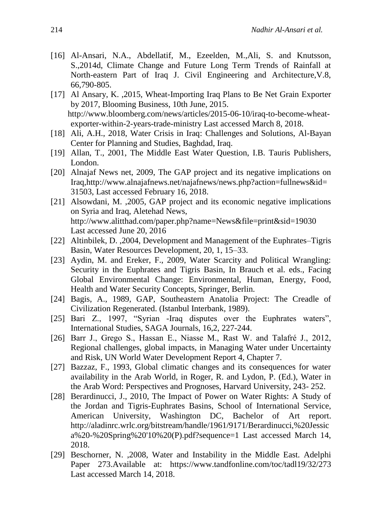- [16] Al-Ansari, N.A., Abdellatif, M., Ezeelden, M., Ali, S. and Knutsson, S.,2014d, Climate Change and Future Long Term Trends of Rainfall at North-eastern Part of Iraq J. Civil Engineering and Architecture,V.8, 66,790-805.
- [17] Al Ansary, K. ,2015, Wheat-Importing Iraq Plans to Be Net Grain Exporter by 2017, Blooming Business, 10th June, 2015. http://www.bloomberg.com/news/articles/2015-06-10/iraq-to-become-wheatexporter-within-2-years-trade-ministry Last accessed March 8, 2018.
- [18] Ali, A.H., 2018, Water Crisis in Iraq: Challenges and Solutions, Al-Bayan Center for Planning and Studies, Baghdad, Iraq.
- [19] Allan, T., 2001, The Middle East Water Question, I.B. Tauris Publishers, London.
- [20] Alnajaf News net, 2009, The GAP project and its negative implications on Iraq,http://www.alnajafnews.net/najafnews/news.php?action=fullnews&id= 31503, Last accessed February 16, 2018.
- [21] Alsowdani, M. ,2005, GAP project and its economic negative implications on Syria and Iraq, Aletehad News, http://www.alitthad.com/paper.php?name=News&file=print&sid=19030 Last accessed June 20, 2016
- [22] Altinbilek, D. ,2004, Development and Management of the Euphrates–Tigris Basin, Water Resources Development, 20, 1, 15–33.
- [23] Aydin, M. and Ereker, F., 2009, Water Scarcity and Political Wrangling: Security in the Euphrates and Tigris Basin, In Brauch et al. eds., Facing Global Environmental Change: Environmental, Human, Energy, Food, Health and Water Security Concepts, Springer, Berlin.
- [24] Bagis, A., 1989, GAP, Southeastern Anatolia Project: The Creadle of Civilization Regenerated. (Istanbul Interbank, 1989).
- [25] Bari Z., 1997, "Syrian -Iraq disputes over the Euphrates waters", International Studies, SAGA Journals, 16,2, 227-244.
- [26] Barr J., Grego S., Hassan E., Niasse M., Rast W. and Talafré J., 2012, Regional challenges, global impacts, in Managing Water under Uncertainty and Risk, UN World Water Development Report 4, Chapter 7.
- [27] Bazzaz, F., 1993, Global climatic changes and its consequences for water availability in the Arab World, in Roger, R. and Lydon, P. (Ed.), Water in the Arab Word: Perspectives and Prognoses, Harvard University, 243- 252.
- [28] Berardinucci, J., 2010, The Impact of Power on Water Rights: A Study of the Jordan and Tigris-Euphrates Basins, School of International Service, American University, Washington DC, Bachelor of Art report. http://aladinrc.wrlc.org/bitstream/handle/1961/9171/Berardinucci,%20Jessic a%20-%20Spring%20'10%20(P).pdf?sequence=1 Last accessed March 14, 2018.
- [29] Beschorner, N. ,2008, Water and Instability in the Middle East. Adelphi Paper 273.Available at: https://www.tandfonline.com/toc/tadl19/32/273 Last accessed March 14, 2018.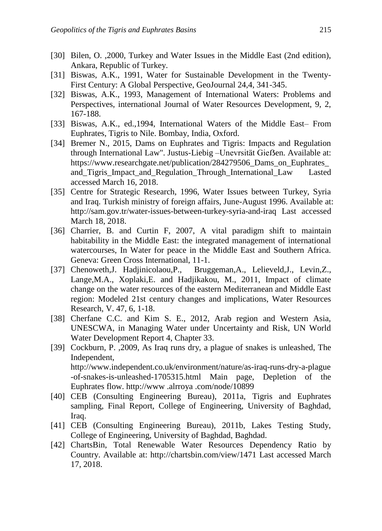- [30] Bilen, O. ,2000, Turkey and Water Issues in the Middle East (2nd edition), Ankara, Republic of Turkey.
- [31] Biswas, A.K., 1991, Water for Sustainable Development in the Twenty-First Century: A Global Perspective, GeoJournal 24,4, 341-345.
- [32] Biswas, A.K., 1993, Management of International Waters: Problems and Perspectives, international Journal of Water Resources Development, 9, 2, 167-188.
- [33] Biswas, A.K., ed.,1994, International Waters of the Middle East– From Euphrates, Tigris to Nile. Bombay, India, Oxford.
- [34] Bremer N., 2015, Dams on Euphrates and Tigris: Impacts and Regulation through International Law". Justus-Liebig -Unevrsität Gießen. Available at: https://www.researchgate.net/publication/284279506\_Dams\_on\_Euphrates\_ and\_Tigris\_Impact\_and\_Regulation\_Through\_International\_Law Lasted accessed March 16, 2018.
- [35] Centre for Strategic Research, 1996, Water Issues between Turkey, Syria and Iraq. Turkish ministry of foreign affairs, June-August 1996. Available at: http://sam.gov.tr/water-issues-between-turkey-syria-and-iraq Last accessed March 18, 2018.
- [36] Charrier, B. and Curtin F, 2007, A vital paradigm shift to maintain habitability in the Middle East: the integrated management of international watercourses, In Water for peace in the Middle East and Southern Africa. Geneva: Green Cross International, 11-1.
- [37] Chenoweth, J. Hadjinicolaou, P., Bruggeman, A., Lelieveld, J., Levin, Z., Lange,M.A., Xoplaki,E. and Hadjikakou, M., 2011, Impact of climate change on the water resources of the eastern Mediterranean and Middle East region: Modeled 21st century changes and implications, Water Resources Research, V. 47, 6, 1-18.
- [38] Cherfane C.C. and Kim S. E., 2012, Arab region and Western Asia, UNESCWA, in Managing Water under Uncertainty and Risk, UN World Water Development Report 4, Chapter 33.
- [39] Cockburn, P. ,2009, As Iraq runs dry, a plague of snakes is unleashed, The Independent, http://www.independent.co.uk/environment/nature/as-iraq-runs-dry-a-plague -of-snakes-is-unleashed-1705315.html Main page, Depletion of the Euphrates flow. http://www .alrroya .com/node/10899
- [40] CEB (Consulting Engineering Bureau), 2011a, Tigris and Euphrates sampling, Final Report, College of Engineering, University of Baghdad, Iraq.
- [41] CEB (Consulting Engineering Bureau), 2011b, Lakes Testing Study, College of Engineering, University of Baghdad, Baghdad.
- [42] ChartsBin, Total Renewable Water Resources Dependency Ratio by Country. Available at: http://chartsbin.com/view/1471 Last accessed March 17, 2018.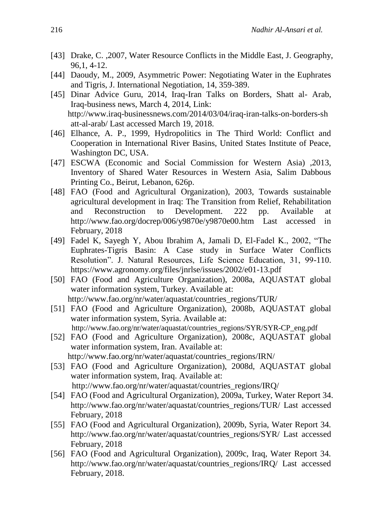- [43] Drake, C. , 2007, Water Resource Conflicts in the Middle East, J. Geography, 96,1, 4-12.
- [44] Daoudy, M., 2009, Asymmetric Power: Negotiating Water in the Euphrates and Tigris, J. International Negotiation, 14, 359-389.
- [45] Dinar Advice Guru, 2014, Iraq-Iran Talks on Borders, Shatt al- Arab, Iraq-business news, March 4, 2014, Link: http://www.iraq-businessnews.com/2014/03/04/iraq-iran-talks-on-borders-sh att-al-arab/ Last accessed March 19, 2018.
- [46] Elhance, A. P., 1999, Hydropolitics in The Third World: Conflict and Cooperation in International River Basins, United States Institute of Peace, Washington DC, USA.
- [47] ESCWA (Economic and Social Commission for Western Asia) ,2013, Inventory of Shared Water Resources in Western Asia, Salim Dabbous Printing Co., Beirut, Lebanon, 626p.
- [48] FAO (Food and Agricultural Organization), 2003, Towards sustainable agricultural development in Iraq: The Transition from Relief, Rehabilitation and Reconstruction to Development. 222 pp. Available at http://www.fao.org/docrep/006/y9870e/y9870e00.htm Last accessed in February, 2018
- [49] Fadel K, Sayegh Y, Abou Ibrahim A, Jamali D, El-Fadel K., 2002, "The Euphrates-Tigris Basin: A Case study in Surface Water Conflicts Resolution". J. Natural Resources, Life Science Education, 31, 99-110. https://www.agronomy.org/files/jnrlse/issues/2002/e01-13.pdf
- [50] FAO (Food and Agriculture Organization), 2008a, AQUASTAT global water information system, Turkey. Available at: http://www.fao.org/nr/water/aquastat/countries\_regions/TUR/
- [51] FAO (Food and Agriculture Organization), 2008b, AQUASTAT global water information system, Syria. Available at: http://www.fao.org/nr/water/aquastat/countries\_regions/SYR/SYR-CP\_eng.pdf
- [52] FAO (Food and Agriculture Organization), 2008c, AQUASTAT global water information system, Iran. Available at: http://www.fao.org/nr/water/aquastat/countries\_regions/IRN/
- [53] FAO (Food and Agriculture Organization), 2008d, AQUASTAT global water information system, Iraq. Available at: http://www.fao.org/nr/water/aquastat/countries\_regions/IRQ/
- [54] FAO (Food and Agricultural Organization), 2009a, Turkey, Water Report 34. http://www.fao.org/nr/water/aquastat/countries\_regions/TUR/ Last accessed February, 2018
- [55] FAO (Food and Agricultural Organization), 2009b, Syria, Water Report 34. http://www.fao.org/nr/water/aquastat/countries\_regions/SYR/ Last accessed February, 2018
- [56] FAO (Food and Agricultural Organization), 2009c, Iraq, Water Report 34. http://www.fao.org/nr/water/aquastat/countries\_regions/IRQ/ Last accessed February, 2018.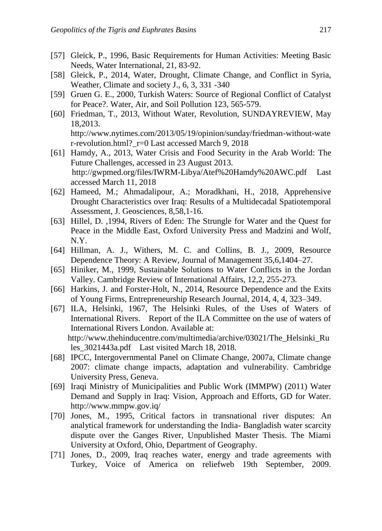- [57] Gleick, P., 1996, Basic Requirements for Human Activities: Meeting Basic Needs, Water International, 21, 83-92.
- [58] Gleick, P., 2014, Water, Drought, Climate Change, and Conflict in Syria, Weather, Climate and society J., 6, 3, 331 -340
- [59] Gruen G. E., 2000, Turkish Waters: Source of Regional Conflict of Catalyst for Peace?. Water, Air, and Soil Pollution 123, 565-579.
- [60] Friedman, T., 2013, Without Water, Revolution, SUNDAYREVIEW, May 18,2013. http://www.nytimes.com/2013/05/19/opinion/sunday/friedman-without-wate r-revolution.html?  $r=0$  Last accessed March 9, 2018
- [61] Hamdy, A., 2013, Water Crisis and Food Security in the Arab World: The Future Challenges, accessed in 23 August 2013. http://gwpmed.org/files/IWRM-Libya/Atef%20Hamdy%20AWC.pdf Last accessed March 11, 2018
- [62] Hameed, M.; Ahmadalipour, A.; Moradkhani, H., 2018, Apprehensive Drought Characteristics over Iraq: Results of a Multidecadal Spatiotemporal Assessment, J. Geosciences, 8,58,1-16.
- [63] Hillel, D. ,1994, Rivers of Eden: The Strungle for Water and the Quest for Peace in the Middle East, Oxford University Press and Madzini and Wolf, N.Y.
- [64] Hillman, A. J., Withers, M. C. and Collins, B. J., 2009, Resource Dependence Theory: A Review, Journal of Management 35,6,1404–27.
- [65] Hiniker, M., 1999, Sustainable Solutions to Water Conflicts in the Jordan Valley. Cambridge Review of International Affairs, 12,2, 255-273.
- [66] Harkins, J. and Forster-Holt, N., 2014, Resource Dependence and the Exits of Young Firms, Entrepreneurship Research Journal, 2014, 4, 4, 323–349.
- [67] ILA, Helsinki, 1967, The Helsinki Rules, of the Uses of Waters of International Rivers. Report of the ILA Committee on the use of waters of International Rivers London. Available at: http://www.thehinducentre.com/multimedia/archive/03021/The Helsinki Ru les\_3021443a.pdf Last visited March 18, 2018.
- [68] IPCC, Intergovernmental Panel on Climate Change, 2007a, Climate change 2007: climate change impacts, adaptation and vulnerability. Cambridge University Press, Geneva.
- [69] Iraqi Ministry of Municipalities and Public Work (IMMPW) (2011) Water Demand and Supply in Iraq: Vision, Approach and Efforts, GD for Water. http://www.mmpw.gov.iq/
- [70] Jones, M., 1995, Critical factors in transnational river disputes: An analytical framework for understanding the India- Bangladish water scarcity dispute over the Ganges River, Unpublished Master Thesis. The Miami University at Oxford, Ohio, Department of Geography.
- [71] Jones, D., 2009, Iraq reaches water, energy and trade agreements with Turkey, Voice of America on reliefweb 19th September, 2009.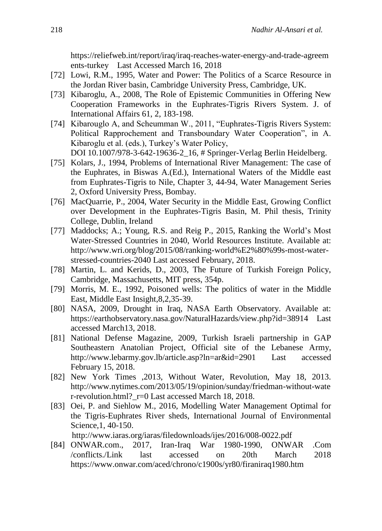https://reliefweb.int/report/iraq/iraq-reaches-water-energy-and-trade-agreem ents-turkey Last Accessed March 16, 2018

- [72] Lowi, R.M., 1995, Water and Power: The Politics of a Scarce Resource in the Jordan River basin, Cambridge University Press, Cambridge, UK.
- [73] Kibaroglu, A., 2008, The Role of Epistemic Communities in Offering New Cooperation Frameworks in the Euphrates-Tigris Rivers System. J. of International Affairs 61, 2, 183-198.
- [74] Kibarouglo A, and Scheumman W., 2011, "Euphrates-Tigris Rivers System: Political Rapprochement and Transboundary Water Cooperation", in A. Kibaroglu et al. (eds.), Turkey's Water Policy,

DOI 10.1007/978-3-642-19636-2\_16, # Springer-Verlag Berlin Heidelberg.

- [75] Kolars, J., 1994, Problems of International River Management: The case of the Euphrates, in Biswas A.(Ed.), International Waters of the Middle east from Euphrates-Tigris to Nile, Chapter 3, 44-94, Water Management Series 2, Oxford University Press, Bombay.
- [76] MacQuarrie, P., 2004, Water Security in the Middle East, Growing Conflict over Development in the Euphrates-Tigris Basin, M. Phil thesis, Trinity College, Dublin, Ireland
- [77] Maddocks; A.; Young, R.S. and Reig P., 2015, Ranking the World's Most Water-Stressed Countries in 2040, World Resources Institute. Available at: http://www.wri.org/blog/2015/08/ranking-world%E2%80%99s-most-waterstressed-countries-2040 Last accessed February, 2018.
- [78] Martin, L. and Kerids, D., 2003, The Future of Turkish Foreign Policy, Cambridge, Massachusetts, MIT press, 354p.
- [79] Morris, M. E., 1992, Poisoned wells: The politics of water in the Middle East, Middle East Insight,8,2,35-39.
- [80] NASA, 2009, Drought in Iraq, NASA Earth Observatory. Available at: https://earthobservatory.nasa.gov/NaturalHazards/view.php?id=38914 Last accessed March13, 2018.
- [81] National Defense Magazine, 2009, Turkish Israeli partnership in GAP Southeastern Anatolian Project, Official site of the Lebanese Army, http://www.lebarmy.gov.lb/article.asp?ln=ar&id=2901 Last accessed February 15, 2018.
- [82] New York Times ,2013, Without Water, Revolution, May 18, 2013. http://www.nytimes.com/2013/05/19/opinion/sunday/friedman-without-wate r-revolution.html?\_r=0 Last accessed March 18, 2018.
- [83] Oei, P. and Siehlow M., 2016, Modelling Water Management Optimal for the Tigris-Euphrates River sheds, International Journal of Environmental Science,1, 40-150.

http://www.iaras.org/iaras/filedownloads/ijes/2016/008-0022.pdf

[84] ONWAR.com., 2017, Iran-Iraq War 1980-1990, ONWAR .Com /conflicts./Link last accessed on 20th March 2018 https://www.onwar.com/aced/chrono/c1900s/yr80/firaniraq1980.htm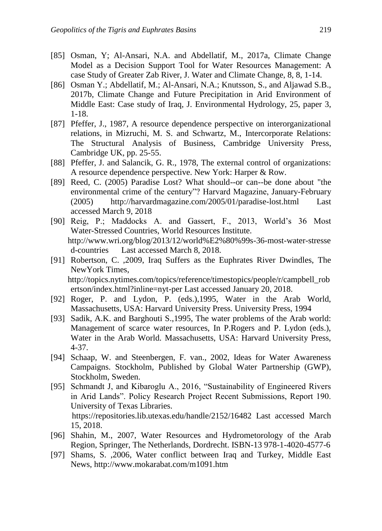- [85] Osman, Y; Al-Ansari, N.A. and Abdellatif, M., 2017a, Climate Change Model as a Decision Support Tool for Water Resources Management: A case Study of Greater Zab River, J. Water and Climate Change, 8, 8, 1-14.
- [86] Osman Y.; Abdellatif, M.; Al-Ansari, N.A.; Knutsson, S., and Aljawad S.B., 2017b, Climate Change and Future Precipitation in Arid Environment of Middle East: Case study of Iraq, J. Environmental Hydrology, 25, paper 3, 1-18.
- [87] Pfeffer, J., 1987, A resource dependence perspective on interorganizational relations, in Mizruchi, M. S. and Schwartz, M., Intercorporate Relations: The Structural Analysis of Business, Cambridge University Press, Cambridge UK, pp. 25-55.
- [88] Pfeffer, J. and Salancik, G. R., 1978, The external control of organizations: A resource dependence perspective. New York: Harper & Row.
- [89] Reed, C. (2005) Paradise Lost? What should--or can--be done about "the environmental crime of the century"? Harvard Magazine, January-February (2005) http://harvardmagazine.com/2005/01/paradise-lost.html Last accessed March 9, 2018
- [90] Reig, P.; Maddocks A. and Gassert, F., 2013, World's 36 Most Water-Stressed Countries, World Resources Institute. http://www.wri.org/blog/2013/12/world%E2%80%99s-36-most-water-stresse d-countries Last accessed March 8, 2018.
- [91] Robertson, C. ,2009, Iraq Suffers as the Euphrates River Dwindles, The NewYork Times, http://topics.nytimes.com/topics/reference/timestopics/people/r/campbell\_rob ertson/index.html?inline=nyt-per Last accessed January 20, 2018.
- [92] Roger, P. and Lydon, P. (eds.),1995, Water in the Arab World, Massachusetts, USA: Harvard University Press. University Press, 1994
- [93] Sadik, A.K. and Barghouti S., 1995, The water problems of the Arab world: Management of scarce water resources, In P.Rogers and P. Lydon (eds.), Water in the Arab World. Massachusetts, USA: Harvard University Press, 4-37.
- [94] Schaap, W. and Steenbergen, F. van., 2002, Ideas for Water Awareness Campaigns. Stockholm, Published by Global Water Partnership (GWP), Stockholm, Sweden.
- [95] Schmandt J, and Kibaroglu A., 2016, "Sustainability of Engineered Rivers in Arid Lands". Policy Research Project Recent Submissions, Report 190. University of Texas Libraries. https://repositories.lib.utexas.edu/handle/2152/16482 Last accessed March 15, 2018.
- [96] Shahin, M., 2007, Water Resources and Hydrometorology of the Arab Region, Springer, The Netherlands, Dordrecht. ISBN-13 978-1-4020-4577-6
- [97] Shams, S. ,2006, Water conflict between Iraq and Turkey, Middle East News, http://www.mokarabat.com/m1091.htm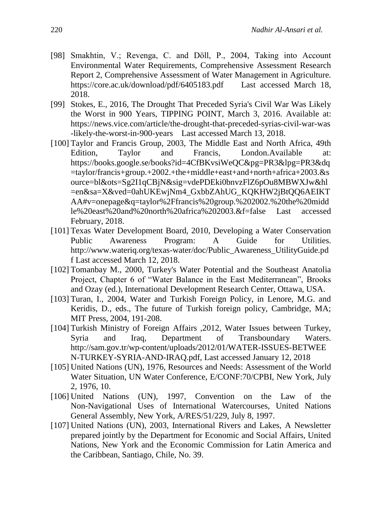- [98] Smakhtin, V.; Revenga, C. and Döll, P., 2004, Taking into Account Environmental Water Requirements, Comprehensive Assessment Research Report 2, Comprehensive Assessment of Water Management in Agriculture. https://core.ac.uk/download/pdf/6405183.pdf Last accessed March 18, 2018.
- [99] Stokes, E., 2016, The Drought That Preceded Syria's Civil War Was Likely the Worst in 900 Years, TIPPING POINT, March 3, 2016. Available at: https://news.vice.com/article/the-drought-that-preceded-syrias-civil-war-was -likely-the-worst-in-900-years Last accessed March 13, 2018.
- [100] Taylor and Francis Group, 2003, The Middle East and North Africa, 49th Edition, Taylor and Francis, London.Available at: https://books.google.se/books?id=4CfBKvsiWeQC&pg=PR3&lpg=PR3&dq =taylor/francis+group.+2002.+the+middle+east+and+north+africa+2003.&s ource=bl&ots=Sg2I1qCBjN&sig=vdePDEki0bnvzFlZ6pOu8MBWXJw&hl =en&sa=X&ved=0ahUKEwjNm4\_GxbbZAhUG\_KQKHW2jBtQQ6AEIKT AA#v=onepage&q=taylor%2Ffrancis%20group.%202002.%20the%20midd le%20east%20and%20north%20africa%202003.&f=false Last accessed February, 2018.
- [101] Texas Water Development Board, 2010, Developing a Water Conservation Public Awareness Program: A Guide for Utilities. http://www.wateriq.org/texas-water/doc/Public\_Awareness\_UtilityGuide.pd f Last accessed March 12, 2018.
- [102] Tomanbay M., 2000, Turkey's Water Potential and the Southeast Anatolia Project, Chapter 6 of "Water Balance in the East Mediterranean", Brooks and Ozay (ed.), International Development Research Center, Ottawa, USA.
- [103] Turan, I., 2004, Water and Turkish Foreign Policy, in Lenore, M.G. and Keridis, D., eds., The future of Turkish foreign policy, Cambridge, MA; MIT Press, 2004, 191-208.
- [104] Turkish Ministry of Foreign Affairs ,2012, Water Issues between Turkey, Syria and Iraq, Department of Transboundary Waters. http://sam.gov.tr/wp-content/uploads/2012/01/WATER-ISSUES-BETWEE N-TURKEY-SYRIA-AND-IRAQ.pdf, Last accessed January 12, 2018
- [105] United Nations (UN), 1976, Resources and Needs: Assessment of the World Water Situation, UN Water Conference, E/CONF:70/CPBI, New York, July 2, 1976, 10.
- [106] United Nations (UN), 1997, Convention on the Law of the Non-Navigational Uses of International Watercourses, United Nations General Assembly, New York, A/RES/51/229, July 8, 1997.
- [107] United Nations (UN), 2003, International Rivers and Lakes, A Newsletter prepared jointly by the Department for Economic and Social Affairs, United Nations, New York and the Economic Commission for Latin America and the Caribbean, Santiago, Chile, No. 39.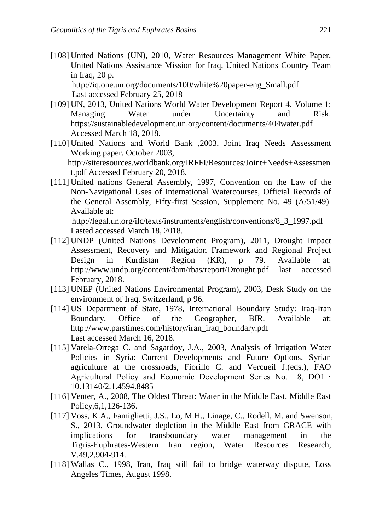[108] United Nations (UN), 2010, Water Resources Management White Paper, United Nations Assistance Mission for Iraq, United Nations Country Team in Iraq, 20 p. http://iq.one.un.org/documents/100/white%20paper-eng\_Small.pdf

Last accessed February 25, 2018

- [109] UN, 2013, United Nations World Water Development Report 4. Volume 1: Managing Water under Uncertainty and Risk. https://sustainabledevelopment.un.org/content/documents/404water.pdf Accessed March 18, 2018.
- [110] United Nations and World Bank ,2003, Joint Iraq Needs Assessment Working paper. October 2003, http://siteresources.worldbank.org/IRFFI/Resources/Joint+Needs+Assessmen t.pdf Accessed February 20, 2018.
- [111] United nations General Assembly, 1997, Convention on the Law of the Non-Navigational Uses of International Watercourses, Official Records of the General Assembly, Fifty-first Session, Supplement No. 49 (A/51/49). Available at:

http://legal.un.org/ilc/texts/instruments/english/conventions/8\_3\_1997.pdf Lasted accessed March 18, 2018.

- [112] UNDP (United Nations Development Program), 2011, Drought Impact Assessment, Recovery and Mitigation Framework and Regional Project Design in Kurdistan Region (KR), p 79. Available at: http://www.undp.org/content/dam/rbas/report/Drought.pdf last accessed February, 2018.
- [113] UNEP (United Nations Environmental Program), 2003, Desk Study on the environment of Iraq. Switzerland, p 96.
- [114] US Department of State, 1978, International Boundary Study: Iraq-Iran Boundary, Office of the Geographer, BIR. Available at: http://www.parstimes.com/history/iran\_iraq\_boundary.pdf Last accessed March 16, 2018.
- [115] Varela-Ortega C. and Sagardoy, J.A., 2003, Analysis of Irrigation Water Policies in Syria: Current Developments and Future Options, Syrian agriculture at the crossroads, Fiorillo C. and Vercueil J.(eds.), FAO Agricultural Policy and Economic Development Series No. 8, DOI · 10.13140/2.1.4594.8485
- [116] Venter, A., 2008, The Oldest Threat: Water in the Middle East, Middle East Policy,6,1,126-136.
- [117] Voss, K.A., Famiglietti, J.S., Lo, M.H., Linage, C., Rodell, M. and Swenson, S., 2013, Groundwater depletion in the Middle East from GRACE with implications for transboundary water management in the Tigris-Euphrates-Western Iran region, Water Resources Research, V.49,2,904-914.
- [118] Wallas C., 1998, Iran, Iraq still fail to bridge waterway dispute, Loss Angeles Times, August 1998.